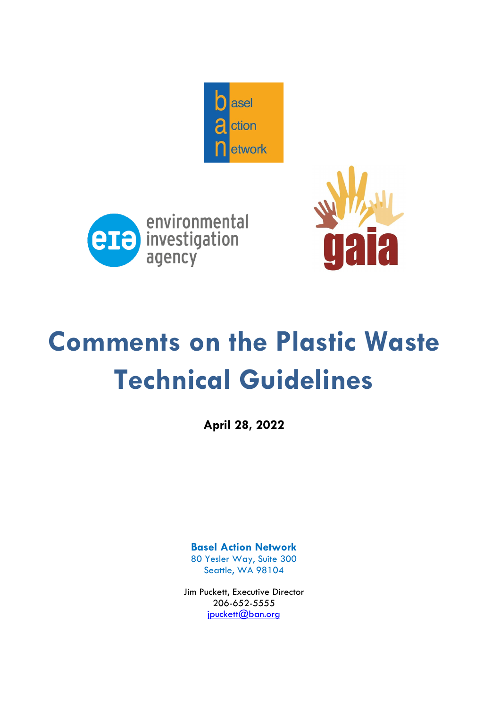





# **Comments on the Plastic Waste Technical Guidelines**

**April 28, 2022**

**Basel Action Network** 80 Yesler Way, Suite 300 Seattle, WA 98104

Jim Puckett, Executive Director 206-652-5555 jpuckett@ban.org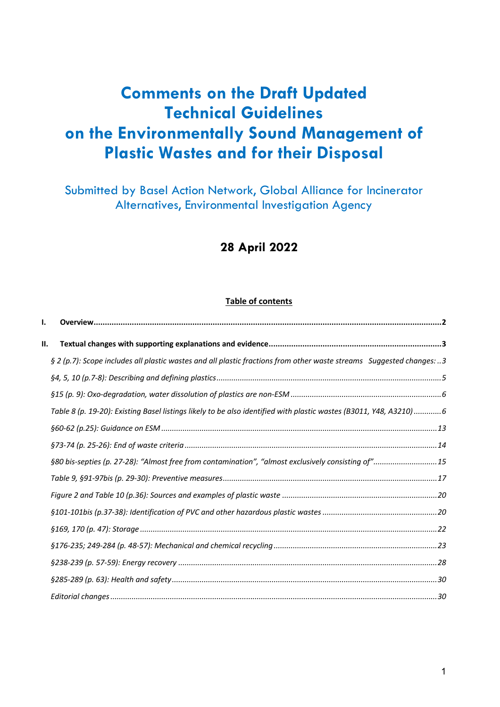## **Comments on the Draft Updated Technical Guidelines on the Environmentally Sound Management of Plastic Wastes and for their Disposal**

Submitted by Basel Action Network, Global Alliance for Incinerator Alternatives, Environmental Investigation Agency

### **28 April 2022**

#### **Table of contents**

| § 2 (p.7): Scope includes all plastic wastes and all plastic fractions from other waste streams Suggested changes: 3 |                                                                                                                                                                                                                         |
|----------------------------------------------------------------------------------------------------------------------|-------------------------------------------------------------------------------------------------------------------------------------------------------------------------------------------------------------------------|
|                                                                                                                      |                                                                                                                                                                                                                         |
|                                                                                                                      |                                                                                                                                                                                                                         |
|                                                                                                                      |                                                                                                                                                                                                                         |
|                                                                                                                      |                                                                                                                                                                                                                         |
|                                                                                                                      |                                                                                                                                                                                                                         |
|                                                                                                                      |                                                                                                                                                                                                                         |
|                                                                                                                      |                                                                                                                                                                                                                         |
|                                                                                                                      |                                                                                                                                                                                                                         |
|                                                                                                                      |                                                                                                                                                                                                                         |
|                                                                                                                      |                                                                                                                                                                                                                         |
|                                                                                                                      |                                                                                                                                                                                                                         |
|                                                                                                                      |                                                                                                                                                                                                                         |
|                                                                                                                      |                                                                                                                                                                                                                         |
|                                                                                                                      |                                                                                                                                                                                                                         |
|                                                                                                                      |                                                                                                                                                                                                                         |
|                                                                                                                      |                                                                                                                                                                                                                         |
|                                                                                                                      | Table 8 (p. 19-20): Existing Basel listings likely to be also identified with plastic wastes (B3011, Y48, A3210)6<br>§80 bis-septies (p. 27-28): "Almost free from contamination", "almost exclusively consisting of"15 |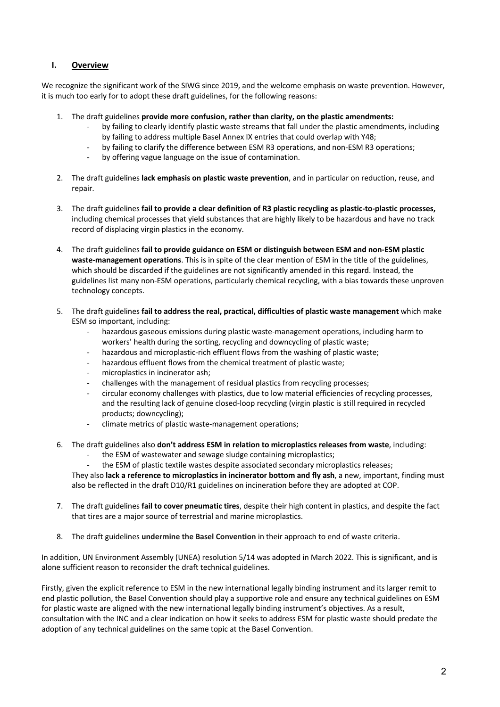#### **I. Overview**

We recognize the significant work of the SIWG since 2019, and the welcome emphasis on waste prevention. However, it is much too early for to adopt these draft guidelines, for the following reasons:

- 1. The draft guidelines **provide more confusion, rather than clarity, on the plastic amendments:**
	- by failing to clearly identify plastic waste streams that fall under the plastic amendments, including by failing to address multiple Basel Annex IX entries that could overlap with Y48;
	- by failing to clarify the difference between ESM R3 operations, and non-ESM R3 operations;
	- by offering vague language on the issue of contamination.
- 2. The draft guidelines **lack emphasis on plastic waste prevention**, and in particular on reduction, reuse, and repair.
- 3. The draft guidelines **fail to provide a clear definition of R3 plastic recycling as plastic-to-plastic processes,**  including chemical processes that yield substances that are highly likely to be hazardous and have no track record of displacing virgin plastics in the economy.
- 4. The draft guidelines **fail to provide guidance on ESM or distinguish between ESM and non-ESM plastic waste-management operations**. This is in spite of the clear mention of ESM in the title of the guidelines, which should be discarded if the guidelines are not significantly amended in this regard. Instead, the guidelines list many non-ESM operations, particularly chemical recycling, with a bias towards these unproven technology concepts.
- 5. The draft guidelines **fail to address the real, practical, difficulties of plastic waste management** which make ESM so important, including:
	- hazardous gaseous emissions during plastic waste-management operations, including harm to workers' health during the sorting, recycling and downcycling of plastic waste;
	- hazardous and microplastic-rich effluent flows from the washing of plastic waste;
	- hazardous effluent flows from the chemical treatment of plastic waste;
	- microplastics in incinerator ash;
	- challenges with the management of residual plastics from recycling processes;
	- circular economy challenges with plastics, due to low material efficiencies of recycling processes, and the resulting lack of genuine closed-loop recycling (virgin plastic is still required in recycled products; downcycling);
	- climate metrics of plastic waste-management operations;
- 6. The draft guidelines also **don't address ESM in relation to microplastics releases from waste**, including:
	- the ESM of wastewater and sewage sludge containing microplastics;
	- the ESM of plastic textile wastes despite associated secondary microplastics releases;

They also **lack a reference to microplastics in incinerator bottom and fly ash**, a new, important, finding must also be reflected in the draft D10/R1 guidelines on incineration before they are adopted at COP.

- 7. The draft guidelines **fail to cover pneumatic tires**, despite their high content in plastics, and despite the fact that tires are a major source of terrestrial and marine microplastics.
- 8. The draft guidelines **undermine the Basel Convention** in their approach to end of waste criteria.

In addition, UN Environment Assembly (UNEA) resolution 5/14 was adopted in March 2022. This is significant, and is alone sufficient reason to reconsider the draft technical guidelines.

Firstly, given the explicit reference to ESM in the new international legally binding instrument and its larger remit to end plastic pollution, the Basel Convention should play a supportive role and ensure any technical guidelines on ESM for plastic waste are aligned with the new international legally binding instrument's objectives. As a result, consultation with the INC and a clear indication on how it seeks to address ESM for plastic waste should predate the adoption of any technical guidelines on the same topic at the Basel Convention.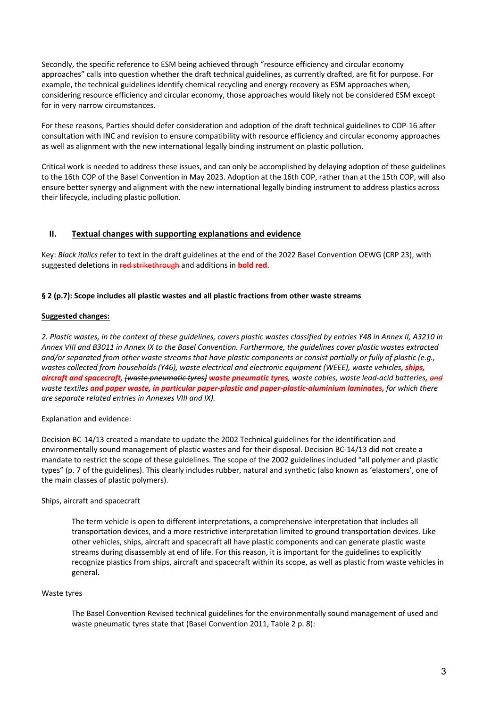Secondly, the specific reference to ESM being achieved through "resource efficiency and circular economy approaches" calls into question whether the draft technical guidelines, as currently drafted, are fit for purpose. For example, the technical guidelines identify chemical recycling and energy recovery as ESM approaches when, considering resource efficiency and circular economy, those approaches would likely not be considered ESM except for in very narrow circumstances.

For these reasons, Parties should defer consideration and adoption of the draft technical guidelines to COP-16 after consultation with INC and revision to ensure compatibility with resource efficiency and circular economy approaches as well as alignment with the new international legally binding instrument on plastic pollution.

Critical work is needed to address these issues, and can only be accomplished by delaying adoption of these guidelines to the 16th COP of the Basel Convention in May 2023. Adoption at the 16th COP, rather than at the 15th COP, will also ensure better synergy and alignment with the new international legally binding instrument to address plastics across their lifecycle, including plastic pollution.

#### **II. Textual changes with supporting explanations and evidence**

Key: *Black italics* refer to text in the draft guidelines at the end of the 2022 Basel Convention OEWG (CRP 23), with suggested deletions in red strikethrough and additions in **bold red**.

#### **§ 2 (p.7): Scope includes all plastic wastes and all plastic fractions from other waste streams**

#### **Suggested changes:**

*2. Plastic wastes, in the context of these guidelines, covers plastic wastes classified by entries Y48 in Annex II, A3210 in Annex VIII and B3011 in Annex IX to the Basel Convention. Furthermore, the guidelines cover plastic wastes extracted and/or separated from other waste streams that have plastic components or consist partially or fully of plastic (e.g., wastes collected from households (Y46), waste electrical and electronic equipment (WEEE), waste vehicles, ships, aircraft and spacecraft, [waste pneumatic tyres] waste pneumatic tyres, waste cables, waste lead-acid batteries, and waste textiles and paper waste, in particular paper-plastic and paper-plastic-aluminium laminates, for which there are separate related entries in Annexes VIII and IX).* 

#### Explanation and evidence:

Decision BC-14/13 created a mandate to update the 2002 Technical guidelines for the identification and environmentally sound management of plastic wastes and for their disposal. Decision BC-14/13 did not create a mandate to restrict the scope of these guidelines. The scope of the 2002 guidelines included "all polymer and plastic types" (p. 7 of the guidelines). This clearly includes rubber, natural and synthetic (also known as 'elastomers', one of the main classes of plastic polymers).

#### Ships, aircraft and spacecraft

The term vehicle is open to different interpretations, a comprehensive interpretation that includes all transportation devices, and a more restrictive interpretation limited to ground transportation devices. Like other vehicles, ships, aircraft and spacecraft all have plastic components and can generate plastic waste streams during disassembly at end of life. For this reason, it is important for the guidelines to explicitly recognize plastics from ships, aircraft and spacecraft within its scope, as well as plastic from waste vehicles in general.

#### Waste tyres

The Basel Convention Revised technical guidelines for the environmentally sound management of used and waste pneumatic tyres state that (Basel Convention 2011, Table 2 p. 8):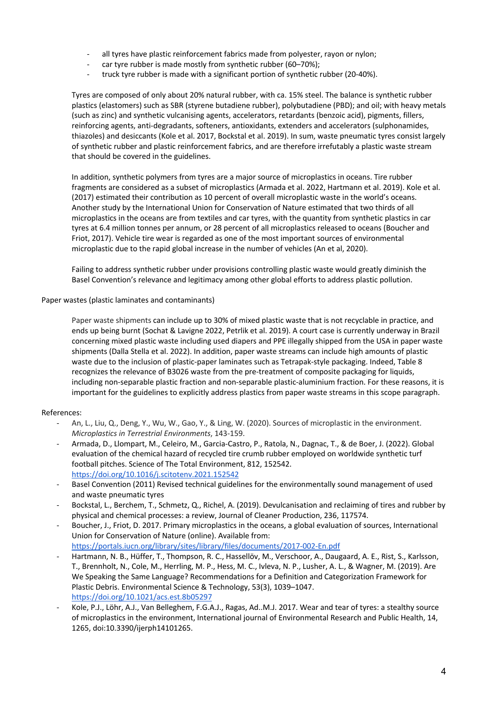- all tyres have plastic reinforcement fabrics made from polyester, rayon or nylon;
- car tyre rubber is made mostly from synthetic rubber (60-70%);
- truck tyre rubber is made with a significant portion of synthetic rubber (20-40%).

Tyres are composed of only about 20% natural rubber, with ca. 15% steel. The balance is synthetic rubber plastics (elastomers) such as SBR (styrene butadiene rubber), polybutadiene (PBD); and oil; with heavy metals (such as zinc) and synthetic vulcanising agents, accelerators, retardants (benzoic acid), pigments, fillers, reinforcing agents, anti-degradants, softeners, antioxidants, extenders and accelerators (sulphonamides, thiazoles) and desiccants (Kole et al. 2017, Bockstal et al. 2019). In sum, waste pneumatic tyres consist largely of synthetic rubber and plastic reinforcement fabrics, and are therefore irrefutably a plastic waste stream that should be covered in the guidelines.

In addition, synthetic polymers from tyres are a major source of microplastics in oceans. Tire rubber fragments are considered as a subset of microplastics (Armada et al. 2022, Hartmann et al. 2019). Kole et al. (2017) estimated their contribution as 10 percent of overall microplastic waste in the world's oceans. Another study by the International Union for Conservation of Nature estimated that two thirds of all microplastics in the oceans are from textiles and car tyres, with the quantity from synthetic plastics in car tyres at 6.4 million tonnes per annum, or 28 percent of all microplastics released to oceans (Boucher and Friot, 2017). Vehicle tire wear is regarded as one of the most important sources of environmental microplastic due to the rapid global increase in the number of vehicles (An et al, 2020).

Failing to address synthetic rubber under provisions controlling plastic waste would greatly diminish the Basel Convention's relevance and legitimacy among other global efforts to address plastic pollution.

Paper wastes (plastic laminates and contaminants)

Paper waste shipments can include up to 30% of mixed plastic waste that is not recyclable in practice, and ends up being burnt (Sochat & Lavigne 2022, Petrlik et al. 2019). A court case is currently underway in Brazil concerning mixed plastic waste including used diapers and PPE illegally shipped from the USA in paper waste shipments (Dalla Stella et al. 2022). In addition, paper waste streams can include high amounts of plastic waste due to the inclusion of plastic-paper laminates such as Tetrapak-style packaging. Indeed, Table 8 recognizes the relevance of B3026 waste from the pre-treatment of composite packaging for liquids, including non-separable plastic fraction and non-separable plastic-aluminium fraction. For these reasons, it is important for the guidelines to explicitly address plastics from paper waste streams in this scope paragraph.

#### References:

- An, L., Liu, Q., Deng, Y., Wu, W., Gao, Y., & Ling, W. (2020). Sources of microplastic in the environment. *Microplastics in Terrestrial Environments*, 143-159.
- Armada, D., Llompart, M., Celeiro, M., Garcia-Castro, P., Ratola, N., Dagnac, T., & de Boer, J. (2022). Global evaluation of the chemical hazard of recycled tire crumb rubber employed on worldwide synthetic turf football pitches. Science of The Total Environment, 812, 152542. https://doi.org/10.1016/j.scitotenv.2021.152542
- Basel Convention (2011) Revised technical guidelines for the environmentally sound management of used and waste pneumatic tyres
- Bockstal, L., Berchem, T., Schmetz, Q., Richel, A. (2019). Devulcanisation and reclaiming of tires and rubber by physical and chemical processes: a review, Journal of Cleaner Production, 236, 117574.
- Boucher, J., Friot, D. 2017. Primary microplastics in the oceans, a global evaluation of sources, International Union for Conservation of Nature (online). Available from: https://portals.iucn.org/library/sites/library/files/documents/2017-002-En.pdf
- Hartmann, N. B., Hüffer, T., Thompson, R. C., Hassellöv, M., Verschoor, A., Daugaard, A. E., Rist, S., Karlsson, T., Brennholt, N., Cole, M., Herrling, M. P., Hess, M. C., Ivleva, N. P., Lusher, A. L., & Wagner, M. (2019). Are We Speaking the Same Language? Recommendations for a Definition and Categorization Framework for Plastic Debris. Environmental Science & Technology, 53(3), 1039–1047. https://doi.org/10.1021/acs.est.8b05297
- Kole, P.J., Löhr, A.J., Van Belleghem, F.G.A.J., Ragas, Ad..M.J. 2017. Wear and tear of tyres: a stealthy source of microplastics in the environment, International journal of Environmental Research and Public Health, 14, 1265, doi:10.3390/ijerph14101265.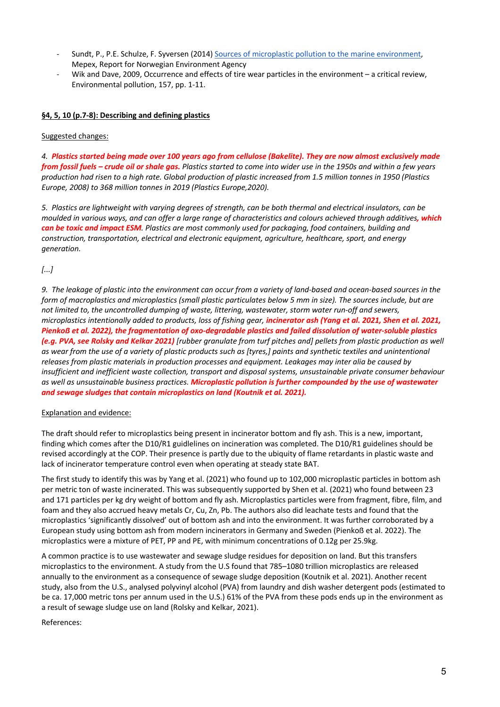- Sundt, P., P.E. Schulze, F. Syversen (2014) Sources of microplastic pollution to the marine environment. Mepex, Report for Norwegian Environment Agency
- Wik and Dave, 2009, Occurrence and effects of tire wear particles in the environment a critical review, Environmental pollution, 157, pp. 1-11.

#### **§4, 5, 10 (p.7-8): Describing and defining plastics**

Suggested changes:

*4. Plastics started being made over 100 years ago from cellulose (Bakelite). They are now almost exclusively made from fossil fuels – crude oil or shale gas. Plastics started to come into wider use in the 1950s and within a few years production had risen to a high rate. Global production of plastic increased from 1.5 million tonnes in 1950 (Plastics Europe, 2008) to 368 million tonnes in 2019 (Plastics Europe,2020).*

*5. Plastics are lightweight with varying degrees of strength, can be both thermal and electrical insulators, can be moulded in various ways, and can offer a large range of characteristics and colours achieved through additives, which can be toxic and impact ESM. Plastics are most commonly used for packaging, food containers, building and construction, transportation, electrical and electronic equipment, agriculture, healthcare, sport, and energy generation.*

*[...]*

*9. The leakage of plastic into the environment can occur from a variety of land-based and ocean-based sources in the form of macroplastics and microplastics (small plastic particulates below 5 mm in size). The sources include, but are not limited to, the uncontrolled dumping of waste, littering, wastewater, storm water run-off and sewers, microplastics intentionally added to products, loss of fishing gear, incinerator ash (Yang et al. 2021, Shen et al. 2021, Pienkoẞ et al. 2022), the fragmentation of oxo-degradable plastics and failed dissolution of water-soluble plastics (e.g. PVA, see Rolsky and Kelkar 2021) [rubber granulate from turf pitches and] pellets from plastic production as well as wear from the use of a variety of plastic products such as [tyres,] paints and synthetic textiles and unintentional releases from plastic materials in production processes and equipment. Leakages may inter alia be caused by insufficient and inefficient waste collection, transport and disposal systems, unsustainable private consumer behaviour as well as unsustainable business practices. Microplastic pollution is further compounded by the use of wastewater and sewage sludges that contain microplastics on land (Koutnik et al. 2021).* 

#### Explanation and evidence:

The draft should refer to microplastics being present in incinerator bottom and fly ash. This is a new, important, finding which comes after the D10/R1 guidlelines on incineration was completed. The D10/R1 guidelines should be revised accordingly at the COP. Their presence is partly due to the ubiquity of flame retardants in plastic waste and lack of incinerator temperature control even when operating at steady state BAT.

The first study to identify this was by Yang et al. (2021) who found up to 102,000 microplastic particles in bottom ash per metric ton of waste incinerated. This was subsequently supported by Shen et al. (2021) who found between 23 and 171 particles per kg dry weight of bottom and fly ash. Microplastics particles were from fragment, fibre, film, and foam and they also accrued heavy metals Cr, Cu, Zn, Pb. The authors also did leachate tests and found that the microplastics 'significantly dissolved' out of bottom ash and into the environment. It was further corroborated by a European study using bottom ash from modern incinerators in Germany and Sweden (Pienkoẞ et al. 2022). The microplastics were a mixture of PET, PP and PE, with minimum concentrations of 0.12g per 25.9kg.

A common practice is to use wastewater and sewage sludge residues for deposition on land. But this transfers microplastics to the environment. A study from the U.S found that 785–1080 trillion microplastics are released annually to the environment as a consequence of sewage sludge deposition (Koutnik et al. 2021). Another recent study, also from the U.S., analysed polyvinyl alcohol (PVA) from laundry and dish washer detergent pods (estimated to be ca. 17,000 metric tons per annum used in the U.S.) 61% of the PVA from these pods ends up in the environment as a result of sewage sludge use on land (Rolsky and Kelkar, 2021).

References: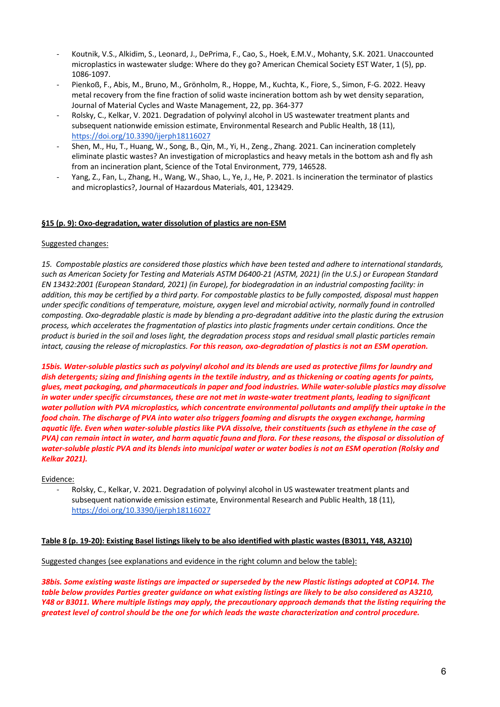- Koutnik, V.S., Alkidim, S., Leonard, J., DePrima, F., Cao, S., Hoek, E.M.V., Mohanty, S.K. 2021. Unaccounted microplastics in wastewater sludge: Where do they go? American Chemical Society EST Water, 1 (5), pp. 1086-1097.
- Pienkoß, F., Abis, M., Bruno, M., Grönholm, R., Hoppe, M., Kuchta, K., Fiore, S., Simon, F-G. 2022. Heavy metal recovery from the fine fraction of solid waste incineration bottom ash by wet density separation, Journal of Material Cycles and Waste Management, 22, pp. 364-377
- Rolsky, C., Kelkar, V. 2021. Degradation of polyvinyl alcohol in US wastewater treatment plants and subsequent nationwide emission estimate, Environmental Research and Public Health, 18 (11), https://doi.org/10.3390/ijerph18116027
- Shen, M., Hu, T., Huang, W., Song, B., Qin, M., Yi, H., Zeng., Zhang. 2021. Can incineration completely eliminate plastic wastes? An investigation of microplastics and heavy metals in the bottom ash and fly ash from an incineration plant, Science of the Total Environment, 779, 146528.
- Yang, Z., Fan, L., Zhang, H., Wang, W., Shao, L., Ye, J., He, P. 2021. Is incineration the terminator of plastics and microplastics?, Journal of Hazardous Materials, 401, 123429.

#### **§15 (p. 9): Oxo-degradation, water dissolution of plastics are non-ESM**

#### Suggested changes:

*15. Compostable plastics are considered those plastics which have been tested and adhere to international standards, such as American Society for Testing and Materials ASTM D6400-21 (ASTM, 2021) (in the U.S.) or European Standard EN 13432:2001 (European Standard, 2021) (in Europe), for biodegradation in an industrial composting facility: in addition, this may be certified by a third party. For compostable plastics to be fully composted, disposal must happen under specific conditions of temperature, moisture, oxygen level and microbial activity, normally found in controlled composting. Oxo-degradable plastic is made by blending a pro-degradant additive into the plastic during the extrusion process, which accelerates the fragmentation of plastics into plastic fragments under certain conditions. Once the product is buried in the soil and loses light, the degradation process stops and residual small plastic particles remain intact, causing the release of microplastics. For this reason, oxo-degradation of plastics is not an ESM operation.* 

*15bis. Water-soluble plastics such as polyvinyl alcohol and its blends are used as protective films for laundry and dish detergents; sizing and finishing agents in the textile industry, and as thickening or coating agents for paints, glues, meat packaging, and pharmaceuticals in paper and food industries. While water-soluble plastics may dissolve in water under specific circumstances, these are not met in waste-water treatment plants, leading to significant*  water pollution with PVA microplastics, which concentrate environmental pollutants and amplify their uptake in the *food chain. The discharge of PVA into water also triggers foaming and disrupts the oxygen exchange, harming aquatic life. Even when water-soluble plastics like PVA dissolve, their constituents (such as ethylene in the case of PVA) can remain intact in water, and harm aquatic fauna and flora. For these reasons, the disposal or dissolution of water-soluble plastic PVA and its blends into municipal water or water bodies is not an ESM operation (Rolsky and Kelkar 2021).*

#### Evidence:

Rolsky, C., Kelkar, V. 2021. Degradation of polyvinyl alcohol in US wastewater treatment plants and subsequent nationwide emission estimate, Environmental Research and Public Health, 18 (11), https://doi.org/10.3390/ijerph18116027

#### **Table 8 (p. 19-20): Existing Basel listings likely to be also identified with plastic wastes (B3011, Y48, A3210)**

#### Suggested changes (see explanations and evidence in the right column and below the table):

*38bis. Some existing waste listings are impacted or superseded by the new Plastic listings adopted at COP14. The table below provides Parties greater guidance on what existing listings are likely to be also considered as A3210, Y48 or B3011. Where multiple listings may apply, the precautionary approach demands that the listing requiring the greatest level of control should be the one for which leads the waste characterization and control procedure.*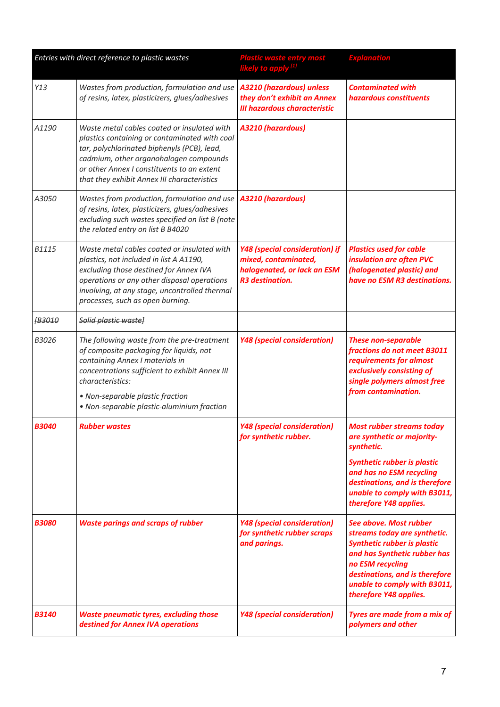| Entries with direct reference to plastic wastes |                                                                                                                                                                                                                                                                                    | Plastic waste entry most<br>likely to apply <sup>[1]</sup>                                                             | <b>Explanation</b>                                                                                                                                                                                                                           |
|-------------------------------------------------|------------------------------------------------------------------------------------------------------------------------------------------------------------------------------------------------------------------------------------------------------------------------------------|------------------------------------------------------------------------------------------------------------------------|----------------------------------------------------------------------------------------------------------------------------------------------------------------------------------------------------------------------------------------------|
| Y13                                             | Wastes from production, formulation and use<br>of resins, latex, plasticizers, glues/adhesives                                                                                                                                                                                     | A3210 (hazardous) unless<br>they don't exhibit an Annex<br><b>III hazardous characteristic</b>                         | <b>Contaminated with</b><br>hazardous constituents                                                                                                                                                                                           |
| A1190                                           | Waste metal cables coated or insulated with<br>plastics containing or contaminated with coal<br>tar, polychlorinated biphenyls (PCB), lead,<br>cadmium, other organohalogen compounds<br>or other Annex I constituents to an extent<br>that they exhibit Annex III characteristics | A3210 (hazardous)                                                                                                      |                                                                                                                                                                                                                                              |
| A3050                                           | Wastes from production, formulation and use<br>of resins, latex, plasticizers, glues/adhesives<br>excluding such wastes specified on list B (note<br>the related entry on list B B4020                                                                                             | <b>A3210 (hazardous)</b>                                                                                               |                                                                                                                                                                                                                                              |
| <b>B1115</b>                                    | Waste metal cables coated or insulated with<br>plastics, not included in list A A1190,<br>excluding those destined for Annex IVA<br>operations or any other disposal operations<br>involving, at any stage, uncontrolled thermal<br>processes, such as open burning.               | <b>Y48 (special consideration) if</b><br>mixed, contaminated,<br>halogenated, or lack an ESM<br><b>R3</b> destination. | <b>Plastics used for cable</b><br>insulation are often PVC<br>(halogenated plastic) and<br>have no ESM R3 destinations.                                                                                                                      |
| <b>B3010</b>                                    | Solid plastic wastel                                                                                                                                                                                                                                                               |                                                                                                                        |                                                                                                                                                                                                                                              |
| B3026                                           | The following waste from the pre-treatment<br>of composite packaging for liquids, not<br>containing Annex I materials in<br>concentrations sufficient to exhibit Annex III<br>characteristics:<br>• Non-separable plastic fraction                                                 | <b>Y48 (special consideration)</b>                                                                                     | <b>These non-separable</b><br>fractions do not meet B3011<br>requirements for almost<br>exclusively consisting of<br>single polymers almost free<br>from contamination.                                                                      |
|                                                 | • Non-separable plastic-aluminium fraction                                                                                                                                                                                                                                         |                                                                                                                        |                                                                                                                                                                                                                                              |
| <i><b>B3040</b></i>                             | <b>Rubber wastes</b>                                                                                                                                                                                                                                                               | <b>Y48 (special consideration)</b><br>for synthetic rubber.                                                            | <b>Most rubber streams today</b><br>are synthetic or majority-<br>synthetic.                                                                                                                                                                 |
|                                                 |                                                                                                                                                                                                                                                                                    |                                                                                                                        | <b>Synthetic rubber is plastic</b><br>and has no ESM recycling<br>destinations, and is therefore<br>unable to comply with B3011,<br>therefore Y48 applies.                                                                                   |
| <b>B3080</b>                                    | <b>Waste parings and scraps of rubber</b>                                                                                                                                                                                                                                          | <b>Y48 (special consideration)</b><br>for synthetic rubber scraps<br>and parings.                                      | See above. Most rubber<br>streams today are synthetic.<br><b>Synthetic rubber is plastic</b><br>and has Synthetic rubber has<br>no ESM recycling<br>destinations, and is therefore<br>unable to comply with B3011,<br>therefore Y48 applies. |
| <b>B3140</b>                                    | <b>Waste pneumatic tyres, excluding those</b><br>destined for Annex IVA operations                                                                                                                                                                                                 | <b>Y48 (special consideration)</b>                                                                                     | Tyres are made from a mix of<br>polymers and other                                                                                                                                                                                           |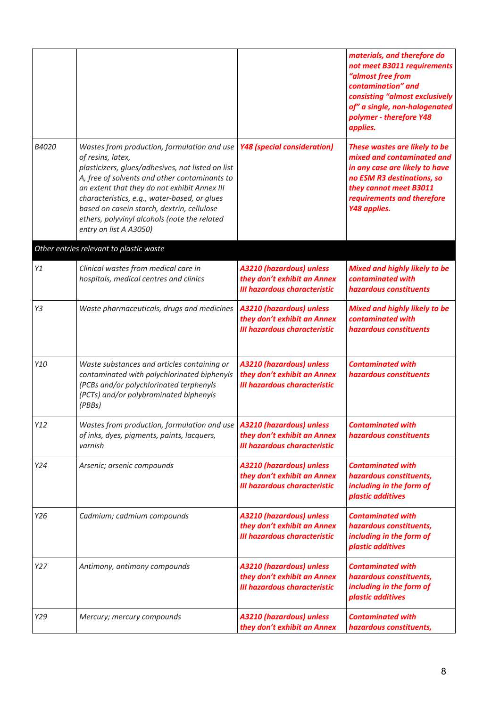|       |                                                                                                                                                                                                                                                                                                                                                                                                |                                                                                                       | materials, and therefore do<br>not meet B3011 requirements<br>"almost free from<br>contamination" and<br>consisting "almost exclusively<br>of" a single, non-halogenated<br>polymer - therefore Y48<br>applies. |
|-------|------------------------------------------------------------------------------------------------------------------------------------------------------------------------------------------------------------------------------------------------------------------------------------------------------------------------------------------------------------------------------------------------|-------------------------------------------------------------------------------------------------------|-----------------------------------------------------------------------------------------------------------------------------------------------------------------------------------------------------------------|
| B4020 | Wastes from production, formulation and use<br>of resins, latex,<br>plasticizers, glues/adhesives, not listed on list<br>A, free of solvents and other contaminants to<br>an extent that they do not exhibit Annex III<br>characteristics, e.g., water-based, or glues<br>based on casein starch, dextrin, cellulose<br>ethers, polyvinyl alcohols (note the related<br>entry on list A A3050) | <b>Y48 (special consideration)</b>                                                                    | These wastes are likely to be<br>mixed and contaminated and<br>in any case are likely to have<br>no ESM R3 destinations, so<br>they cannot meet B3011<br>requirements and therefore<br>Y48 applies.             |
|       | Other entries relevant to plastic waste                                                                                                                                                                                                                                                                                                                                                        |                                                                                                       |                                                                                                                                                                                                                 |
| Y1    | Clinical wastes from medical care in<br>hospitals, medical centres and clinics                                                                                                                                                                                                                                                                                                                 | A3210 (hazardous) unless<br>they don't exhibit an Annex<br><b>III hazardous characteristic</b>        | <b>Mixed and highly likely to be</b><br>contaminated with<br>hazardous constituents                                                                                                                             |
| Y3    | Waste pharmaceuticals, drugs and medicines                                                                                                                                                                                                                                                                                                                                                     | A3210 (hazardous) unless<br>they don't exhibit an Annex<br><b>III hazardous characteristic</b>        | <b>Mixed and highly likely to be</b><br>contaminated with<br>hazardous constituents                                                                                                                             |
| Y10   | Waste substances and articles containing or<br>contaminated with polychlorinated biphenyls<br>(PCBs and/or polychlorinated terphenyls<br>(PCTs) and/or polybrominated biphenyls<br>(PBBs)                                                                                                                                                                                                      | A3210 (hazardous) unless<br>they don't exhibit an Annex<br><b>III hazardous characteristic</b>        | <b>Contaminated with</b><br>hazardous constituents                                                                                                                                                              |
| Y12   | Wastes from production, formulation and use<br>of inks, dyes, pigments, paints, lacquers,<br>varnish                                                                                                                                                                                                                                                                                           | A3210 (hazardous) unless<br>they don't exhibit an Annex<br><b>III hazardous characteristic</b>        | <b>Contaminated with</b><br>hazardous constituents                                                                                                                                                              |
| Y24   | Arsenic; arsenic compounds                                                                                                                                                                                                                                                                                                                                                                     | <b>A3210 (hazardous) unless</b><br>they don't exhibit an Annex<br><b>III hazardous characteristic</b> | <b>Contaminated with</b><br>hazardous constituents,<br>including in the form of<br>plastic additives                                                                                                            |
| Y26   | Cadmium; cadmium compounds                                                                                                                                                                                                                                                                                                                                                                     | A3210 (hazardous) unless<br>they don't exhibit an Annex<br><b>III hazardous characteristic</b>        | <b>Contaminated with</b><br>hazardous constituents,<br>including in the form of<br>plastic additives                                                                                                            |
| Y27   | Antimony, antimony compounds                                                                                                                                                                                                                                                                                                                                                                   | A3210 (hazardous) unless<br>they don't exhibit an Annex<br><b>III hazardous characteristic</b>        | <b>Contaminated with</b><br>hazardous constituents,<br>including in the form of<br>plastic additives                                                                                                            |
| Y29   | Mercury; mercury compounds                                                                                                                                                                                                                                                                                                                                                                     | A3210 (hazardous) unless<br>they don't exhibit an Annex                                               | <b>Contaminated with</b><br>hazardous constituents,                                                                                                                                                             |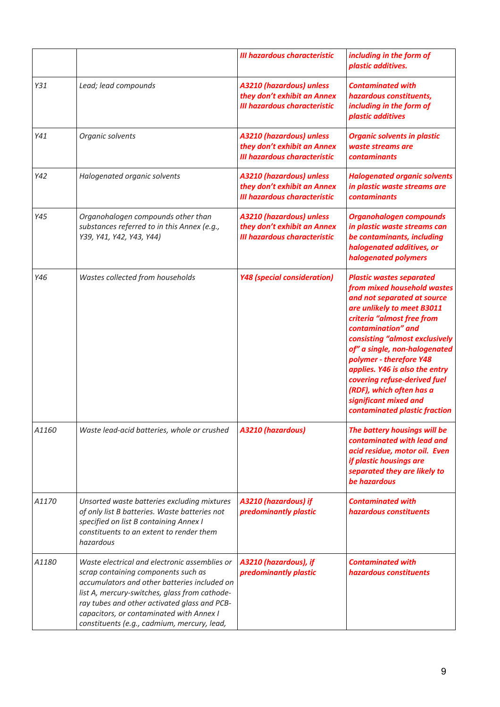|       |                                                                                                                                                                                                                                                                                                                                  | <b>III hazardous characteristic</b>                                                                   | including in the form of<br>plastic additives.                                                                                                                                                                                                                                                                                                                                                                                        |
|-------|----------------------------------------------------------------------------------------------------------------------------------------------------------------------------------------------------------------------------------------------------------------------------------------------------------------------------------|-------------------------------------------------------------------------------------------------------|---------------------------------------------------------------------------------------------------------------------------------------------------------------------------------------------------------------------------------------------------------------------------------------------------------------------------------------------------------------------------------------------------------------------------------------|
| Y31   | Lead; lead compounds                                                                                                                                                                                                                                                                                                             | <b>A3210 (hazardous) unless</b><br>they don't exhibit an Annex<br><b>III hazardous characteristic</b> | <b>Contaminated with</b><br>hazardous constituents,<br>including in the form of<br>plastic additives                                                                                                                                                                                                                                                                                                                                  |
| Y41   | Organic solvents                                                                                                                                                                                                                                                                                                                 | <b>A3210 (hazardous) unless</b><br>they don't exhibit an Annex<br><b>III hazardous characteristic</b> | <b>Organic solvents in plastic</b><br>waste streams are<br>contaminants                                                                                                                                                                                                                                                                                                                                                               |
| Y42   | Halogenated organic solvents                                                                                                                                                                                                                                                                                                     | <b>A3210 (hazardous) unless</b><br>they don't exhibit an Annex<br><b>III hazardous characteristic</b> | <b>Halogenated organic solvents</b><br>in plastic waste streams are<br><b>contaminants</b>                                                                                                                                                                                                                                                                                                                                            |
| Y45   | Organohalogen compounds other than<br>substances referred to in this Annex (e.g.,<br>Y39, Y41, Y42, Y43, Y44)                                                                                                                                                                                                                    | <b>A3210 (hazardous) unless</b><br>they don't exhibit an Annex<br><b>III hazardous characteristic</b> | <b>Organohalogen compounds</b><br>in plastic waste streams can<br>be contaminants, including<br>halogenated additives, or<br>halogenated polymers                                                                                                                                                                                                                                                                                     |
| Y46   | Wastes collected from households                                                                                                                                                                                                                                                                                                 | <b>Y48 (special consideration)</b>                                                                    | <b>Plastic wastes separated</b><br>from mixed household wastes<br>and not separated at source<br>are unlikely to meet B3011<br>criteria "almost free from<br>contamination" and<br>consisting "almost exclusively<br>of" a single, non-halogenated<br>polymer - therefore Y48<br>applies. Y46 is also the entry<br>covering refuse-derived fuel<br>(RDF), which often has a<br>significant mixed and<br>contaminated plastic fraction |
| A1160 | Waste lead-acid batteries, whole or crushed                                                                                                                                                                                                                                                                                      | <b>A3210 (hazardous)</b>                                                                              | The battery housings will be<br>contaminated with lead and<br>acid residue, motor oil. Even<br>if plastic housings are<br>separated they are likely to<br>be hazardous                                                                                                                                                                                                                                                                |
| A1170 | Unsorted waste batteries excluding mixtures<br>of only list B batteries. Waste batteries not<br>specified on list B containing Annex I<br>constituents to an extent to render them<br>hazardous                                                                                                                                  | A3210 (hazardous) if<br>predominantly plastic                                                         | <b>Contaminated with</b><br>hazardous constituents                                                                                                                                                                                                                                                                                                                                                                                    |
| A1180 | Waste electrical and electronic assemblies or<br>scrap containing components such as<br>accumulators and other batteries included on<br>list A, mercury-switches, glass from cathode-<br>ray tubes and other activated glass and PCB-<br>capacitors, or contaminated with Annex I<br>constituents (e.g., cadmium, mercury, lead, | A3210 (hazardous), if<br>predominantly plastic                                                        | <b>Contaminated with</b><br>hazardous constituents                                                                                                                                                                                                                                                                                                                                                                                    |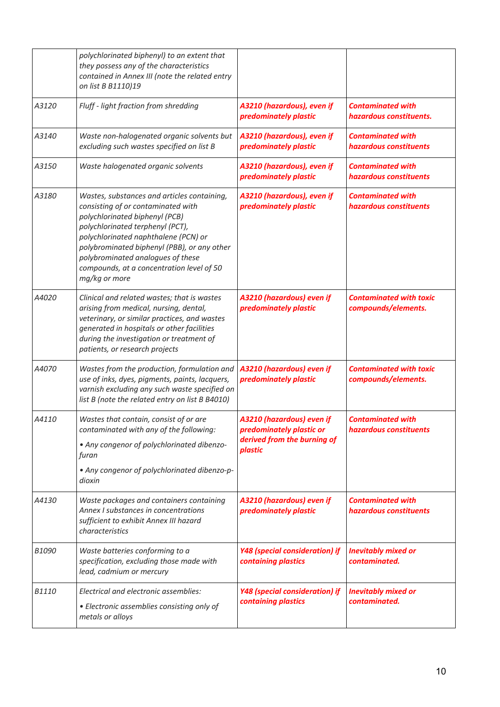|              | polychlorinated biphenyl) to an extent that<br>they possess any of the characteristics<br>contained in Annex III (note the related entry<br>on list B B1110)19                                                                                                                                                                                    |                                                                                                 |                                                       |
|--------------|---------------------------------------------------------------------------------------------------------------------------------------------------------------------------------------------------------------------------------------------------------------------------------------------------------------------------------------------------|-------------------------------------------------------------------------------------------------|-------------------------------------------------------|
| A3120        | Fluff - light fraction from shredding                                                                                                                                                                                                                                                                                                             | A3210 (hazardous), even if<br>predominately plastic                                             | <b>Contaminated with</b><br>hazardous constituents.   |
| A3140        | Waste non-halogenated organic solvents but<br>excluding such wastes specified on list B                                                                                                                                                                                                                                                           | A3210 (hazardous), even if<br>predominately plastic                                             | <b>Contaminated with</b><br>hazardous constituents    |
| A3150        | Waste halogenated organic solvents                                                                                                                                                                                                                                                                                                                | A3210 (hazardous), even if<br>predominately plastic                                             | <b>Contaminated with</b><br>hazardous constituents    |
| A3180        | Wastes, substances and articles containing,<br>consisting of or contaminated with<br>polychlorinated biphenyl (PCB)<br>polychlorinated terphenyl (PCT),<br>polychlorinated naphthalene (PCN) or<br>polybrominated biphenyl (PBB), or any other<br>polybrominated analogues of these<br>compounds, at a concentration level of 50<br>mg/kg or more | A3210 (hazardous), even if<br>predominately plastic                                             | <b>Contaminated with</b><br>hazardous constituents    |
| A4020        | Clinical and related wastes; that is wastes<br>arising from medical, nursing, dental,<br>veterinary, or similar practices, and wastes<br>generated in hospitals or other facilities<br>during the investigation or treatment of<br>patients, or research projects                                                                                 | A3210 (hazardous) even if<br>predominately plastic                                              | <b>Contaminated with toxic</b><br>compounds/elements. |
| A4070        | Wastes from the production, formulation and<br>use of inks, dyes, pigments, paints, lacquers,<br>varnish excluding any such waste specified on<br>list B (note the related entry on list B B4010)                                                                                                                                                 | A3210 (hazardous) even if<br>predominately plastic                                              | <b>Contaminated with toxic</b><br>compounds/elements. |
| A4110        | Wastes that contain, consist of or are<br>contaminated with any of the following:<br>• Any congenor of polychlorinated dibenzo-<br>furan<br>• Any congenor of polychlorinated dibenzo-p-<br>dioxin                                                                                                                                                | A3210 (hazardous) even if<br>predominately plastic or<br>derived from the burning of<br>plastic | <b>Contaminated with</b><br>hazardous constituents    |
| A4130        | Waste packages and containers containing<br>Annex I substances in concentrations<br>sufficient to exhibit Annex III hazard<br>characteristics                                                                                                                                                                                                     | A3210 (hazardous) even if<br>predominately plastic                                              | <b>Contaminated with</b><br>hazardous constituents    |
| B1090        | Waste batteries conforming to a<br>specification, excluding those made with<br>lead, cadmium or mercury                                                                                                                                                                                                                                           | <b>Y48 (special consideration) if</b><br>containing plastics                                    | <b>Inevitably mixed or</b><br>contaminated.           |
| <b>B1110</b> | Electrical and electronic assemblies:<br>• Electronic assemblies consisting only of<br>metals or alloys                                                                                                                                                                                                                                           | <b>Y48 (special consideration) if</b><br>containing plastics                                    | <b>Inevitably mixed or</b><br>contaminated.           |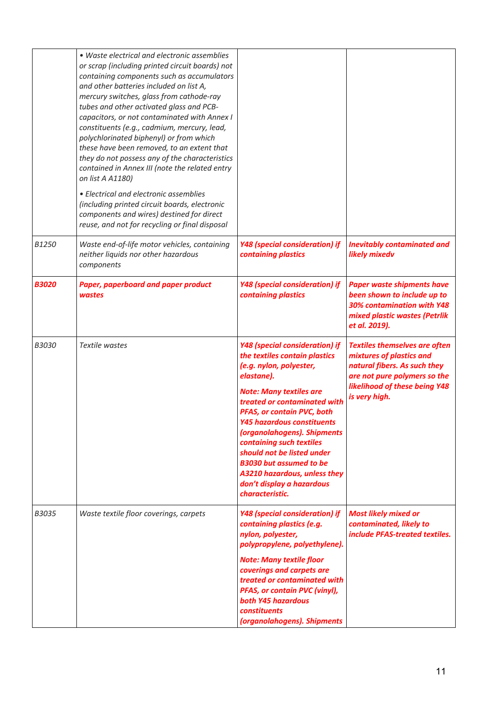|              | • Waste electrical and electronic assemblies<br>or scrap (including printed circuit boards) not<br>containing components such as accumulators<br>and other batteries included on list A,<br>mercury switches, glass from cathode-ray<br>tubes and other activated glass and PCB-<br>capacitors, or not contaminated with Annex I<br>constituents (e.g., cadmium, mercury, lead,<br>polychlorinated biphenyl) or from which<br>these have been removed, to an extent that<br>they do not possess any of the characteristics<br>contained in Annex III (note the related entry<br>on list A A1180)<br>• Electrical and electronic assemblies<br>(including printed circuit boards, electronic<br>components and wires) destined for direct<br>reuse, and not for recycling or final disposal |                                                                                                                                                                                                                                                                                                                                                                                                                                                   |                                                                                                                                                                                           |
|--------------|--------------------------------------------------------------------------------------------------------------------------------------------------------------------------------------------------------------------------------------------------------------------------------------------------------------------------------------------------------------------------------------------------------------------------------------------------------------------------------------------------------------------------------------------------------------------------------------------------------------------------------------------------------------------------------------------------------------------------------------------------------------------------------------------|---------------------------------------------------------------------------------------------------------------------------------------------------------------------------------------------------------------------------------------------------------------------------------------------------------------------------------------------------------------------------------------------------------------------------------------------------|-------------------------------------------------------------------------------------------------------------------------------------------------------------------------------------------|
| B1250        | Waste end-of-life motor vehicles, containing<br>neither liquids nor other hazardous<br>components                                                                                                                                                                                                                                                                                                                                                                                                                                                                                                                                                                                                                                                                                          | <b>Y48 (special consideration) if</b><br>containing plastics                                                                                                                                                                                                                                                                                                                                                                                      | <b>Inevitably contaminated and</b><br>likely mixedv                                                                                                                                       |
| <b>B3020</b> | Paper, paperboard and paper product<br>wastes                                                                                                                                                                                                                                                                                                                                                                                                                                                                                                                                                                                                                                                                                                                                              | Y48 (special consideration) if<br>containing plastics                                                                                                                                                                                                                                                                                                                                                                                             | <b>Paper waste shipments have</b><br>been shown to include up to<br>30% contamination with Y48<br>mixed plastic wastes (Petrlik<br>et al. 2019).                                          |
| <b>B3030</b> | Textile wastes                                                                                                                                                                                                                                                                                                                                                                                                                                                                                                                                                                                                                                                                                                                                                                             | Y48 (special consideration) if<br>the textiles contain plastics<br>(e.g. nylon, polyester,<br>elastane).<br><b>Note: Many textiles are</b><br>treated or contaminated with<br>PFAS, or contain PVC, both<br>Y45 hazardous constituents<br>(organolahogens). Shipments<br>containing such textiles<br>should not be listed under<br><b>B3030 but assumed to be</b><br>A3210 hazardous, unless they<br>don't display a hazardous<br>characteristic. | <b>Textiles themselves are often</b><br>mixtures of plastics and<br>natural fibers. As such they<br>are not pure polymers so the<br><b>likelihood of these being Y48</b><br>is very high. |
| B3035        | Waste textile floor coverings, carpets                                                                                                                                                                                                                                                                                                                                                                                                                                                                                                                                                                                                                                                                                                                                                     | <b>Y48 (special consideration) if</b><br>containing plastics (e.g.<br>nylon, polyester,<br>polypropylene, polyethylene).<br><b>Note: Many textile floor</b><br>coverings and carpets are<br>treated or contaminated with<br>PFAS, or contain PVC (vinyl),<br>both Y45 hazardous<br>constituents<br>(organolahogens). Shipments                                                                                                                    | <b>Most likely mixed or</b><br>contaminated, likely to<br>include PFAS-treated textiles.                                                                                                  |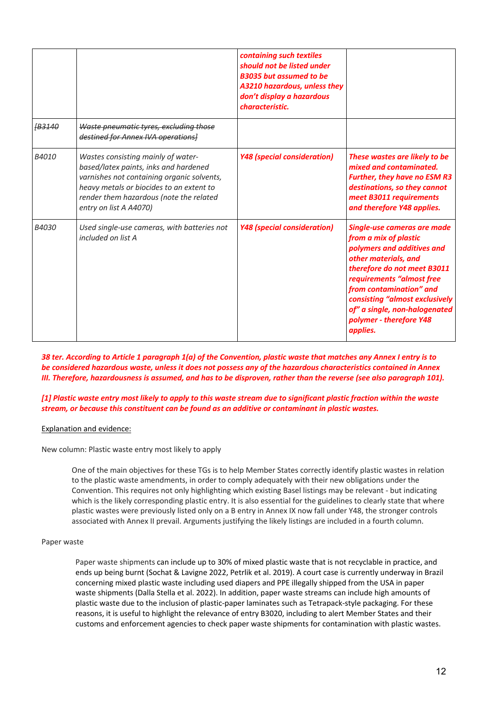|              |                                                                                                                                                                                                                                            | containing such textiles<br>should not be listed under<br><b>B3035 but assumed to be</b><br>A3210 hazardous, unless they<br>don't display a hazardous<br>characteristic. |                                                                                                                                                                                                                                                                                                             |
|--------------|--------------------------------------------------------------------------------------------------------------------------------------------------------------------------------------------------------------------------------------------|--------------------------------------------------------------------------------------------------------------------------------------------------------------------------|-------------------------------------------------------------------------------------------------------------------------------------------------------------------------------------------------------------------------------------------------------------------------------------------------------------|
| <b>B3140</b> | Waste pneumatic tyres, excluding those<br>destined for Annex IVA operations]                                                                                                                                                               |                                                                                                                                                                          |                                                                                                                                                                                                                                                                                                             |
| B4010        | Wastes consisting mainly of water-<br>based/latex paints, inks and hardened<br>varnishes not containing organic solvents,<br>heavy metals or biocides to an extent to<br>render them hazardous (note the related<br>entry on list A A4070) | <b>Y48 (special consideration)</b>                                                                                                                                       | These wastes are likely to be<br>mixed and contaminated.<br><b>Further, they have no ESM R3</b><br>destinations, so they cannot<br>meet B3011 requirements<br>and therefore Y48 applies.                                                                                                                    |
| B4030        | Used single-use cameras, with batteries not<br>included on list A                                                                                                                                                                          | <b>Y48 (special consideration)</b>                                                                                                                                       | Single-use cameras are made<br>from a mix of plastic<br>polymers and additives and<br>other materials, and<br>therefore do not meet B3011<br>requirements "almost free<br>from contamination" and<br>consisting "almost exclusively<br>of" a single, non-halogenated<br>polymer - therefore Y48<br>applies. |

*38 ter. According to Article 1 paragraph 1(a) of the Convention, plastic waste that matches any Annex I entry is to be considered hazardous waste, unless it does not possess any of the hazardous characteristics contained in Annex III. Therefore, hazardousness is assumed, and has to be disproven, rather than the reverse (see also paragraph 101).*

*[1] Plastic waste entry most likely to apply to this waste stream due to significant plastic fraction within the waste stream, or because this constituent can be found as an additive or contaminant in plastic wastes.* 

#### Explanation and evidence:

New column: Plastic waste entry most likely to apply

One of the main objectives for these TGs is to help Member States correctly identify plastic wastes in relation to the plastic waste amendments, in order to comply adequately with their new obligations under the Convention. This requires not only highlighting which existing Basel listings may be relevant - but indicating which is the likely corresponding plastic entry. It is also essential for the guidelines to clearly state that where plastic wastes were previously listed only on a B entry in Annex IX now fall under Y48, the stronger controls associated with Annex II prevail. Arguments justifying the likely listings are included in a fourth column.

#### Paper waste

Paper waste shipments can include up to 30% of mixed plastic waste that is not recyclable in practice, and ends up being burnt (Sochat & Lavigne 2022, Petrlik et al. 2019). A court case is currently underway in Brazil concerning mixed plastic waste including used diapers and PPE illegally shipped from the USA in paper waste shipments (Dalla Stella et al. 2022). In addition, paper waste streams can include high amounts of plastic waste due to the inclusion of plastic-paper laminates such as Tetrapack-style packaging. For these reasons, it is useful to highlight the relevance of entry B3020, including to alert Member States and their customs and enforcement agencies to check paper waste shipments for contamination with plastic wastes.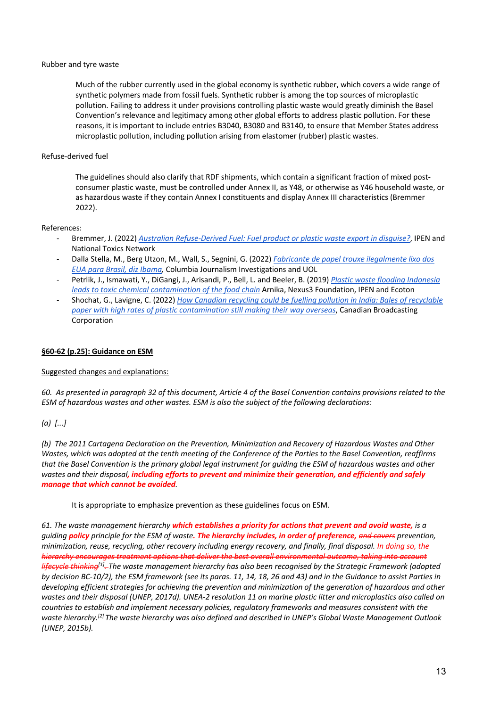#### Rubber and tyre waste

Much of the rubber currently used in the global economy is synthetic rubber, which covers a wide range of synthetic polymers made from fossil fuels. Synthetic rubber is among the top sources of microplastic pollution. Failing to address it under provisions controlling plastic waste would greatly diminish the Basel Convention's relevance and legitimacy among other global efforts to address plastic pollution. For these reasons, it is important to include entries B3040, B3080 and B3140, to ensure that Member States address microplastic pollution, including pollution arising from elastomer (rubber) plastic wastes.

#### Refuse-derived fuel

The guidelines should also clarify that RDF shipments, which contain a significant fraction of mixed postconsumer plastic waste, must be controlled under Annex II, as Y48, or otherwise as Y46 household waste, or as hazardous waste if they contain Annex I constituents and display Annex III characteristics (Bremmer 2022).

#### References:

- Bremmer, J. (2022) *Australian Refuse-Derived Fuel: Fuel product or plastic waste export in disguise?*, IPEN and National Toxics Network
- Dalla Stella, M., Berg Utzon, M., Wall, S., Segnini, G. (2022) *Fabricante de papel trouxe ilegalmente lixo dos EUA para Brasil, diz Ibama,* Columbia Journalism Investigations and UOL
- Petrlik, J., Ismawati, Y., DiGangi, J., Arisandi, P., Bell, L. and Beeler, B. (2019) *Plastic waste flooding Indonesia leads to toxic chemical contamination of the food chain* Arnika, Nexus3 Foundation, IPEN and Ecoton
- Shochat, G., Lavigne, C. (2022) *How Canadian recycling could be fuelling pollution in India: Bales of recyclable paper with high rates of plastic contamination still making their way overseas*, Canadian Broadcasting Corporation

#### **§60-62 (p.25): Guidance on ESM**

#### Suggested changes and explanations:

*60. As presented in paragraph 32 of this document, Article 4 of the Basel Convention contains provisions related to the ESM of hazardous wastes and other wastes. ESM is also the subject of the following declarations:*

#### *(a) [...]*

*(b) The 2011 Cartagena Declaration on the Prevention, Minimization and Recovery of Hazardous Wastes and Other Wastes, which was adopted at the tenth meeting of the Conference of the Parties to the Basel Convention, reaffirms that the Basel Convention is the primary global legal instrument for guiding the ESM of hazardous wastes and other wastes and their disposal, including efforts to prevent and minimize their generation, and efficiently and safely manage that which cannot be avoided.*

#### It is appropriate to emphasize prevention as these guidelines focus on ESM.

*61. The waste management hierarchy which establishes a priority for actions that prevent and avoid waste, is a guiding policy principle for the ESM of waste. The hierarchy includes, in order of preference, and covers prevention, minimization, reuse, recycling, other recovery including energy recovery, and finally, final disposal. In doing so, the hierarchy encourages treatment options that deliver the best overall environmental outcome, taking into account lifecycle thinking[1]. The waste management hierarchy has also been recognised by the Strategic Framework (adopted by decision BC-10/2), the ESM framework (see its paras. 11, 14, 18, 26 and 43) and in the Guidance to assist Parties in developing efficient strategies for achieving the prevention and minimization of the generation of hazardous and other wastes and their disposal (UNEP, 2017d). UNEA-2 resolution 11 on marine plastic litter and microplastics also called on countries to establish and implement necessary policies, regulatory frameworks and measures consistent with the waste hierarchy.[2] The waste hierarchy was also defined and described in UNEP's Global Waste Management Outlook (UNEP, 2015b).*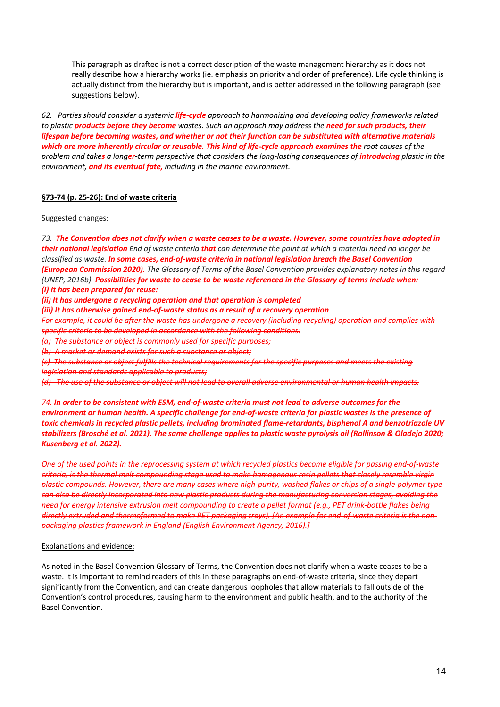This paragraph as drafted is not a correct description of the waste management hierarchy as it does not really describe how a hierarchy works (ie. emphasis on priority and order of preference). Life cycle thinking is actually distinct from the hierarchy but is important, and is better addressed in the following paragraph (see suggestions below).

*62. Parties should consider a systemic life-cycle approach to harmonizing and developing policy frameworks related to plastic products before they become wastes. Such an approach may address the need for such products, their lifespan before becoming wastes, and whether or not their function can be substituted with alternative materials which are more inherently circular or reusable. This kind of life-cycle approach examines the root causes of the problem and takes a longer-term perspective that considers the long-lasting consequences of introducing plastic in the environment, and its eventual fate, including in the marine environment.* 

#### **§73-74 (p. 25-26): End of waste criteria**

#### Suggested changes:

*73. The Convention does not clarify when a waste ceases to be a waste. However, some countries have adopted in their national legislation End of waste criteria that can determine the point at which a material need no longer be classified as waste. In some cases, end-of-waste criteria in national legislation breach the Basel Convention (European Commission 2020). The Glossary of Terms of the Basel Convention provides explanatory notes in this regard (UNEP, 2016b). Possibilities for waste to cease to be waste referenced in the Glossary of terms include when: (i) It has been prepared for reuse: (ii) It has undergone a recycling operation and that operation is completed (iii) It has otherwise gained end-of-waste status as a result of a recovery operation For example, it could be after the waste has undergone a recovery (including recycling) operation and complies with specific criteria to be developed in accordance with the following conditions: (a) The substance or object is commonly used for specific purposes; (b) A market or demand exists for such a substance or object; (c) The substance or object fulfills the technical requirements for the specific purposes and meets the existing* 

*legislation and standards applicable to products;*

*(d) The use of the substance or object will not lead to overall adverse environmental or human health impacts.*

*74. In order to be consistent with ESM, end-of-waste criteria must not lead to adverse outcomes for the environment or human health. A specific challenge for end-of-waste criteria for plastic wastes is the presence of toxic chemicals in recycled plastic pellets, including brominated flame-retardants, bisphenol A and benzotriazole UV stabilizers (Brosché et al. 2021). The same challenge applies to plastic waste pyrolysis oil (Rollinson & Oladejo 2020; Kusenberg et al. 2022).*

*One of the used points in the reprocessing system at which recycled plastics become eligible for passing end-of-waste criteria, is the thermal melt compounding stage used to make homogenous resin pellets that closely resemble virgin plastic compounds. However, there are many cases where high-purity, washed flakes or chips of a single-polymer type can also be directly incorporated into new plastic products during the manufacturing conversion stages, avoiding the need for energy intensive extrusion melt compounding to create a pellet format (e.g., PET drink-bottle flakes being directly extruded and thermoformed to make PET packaging trays). [An example for end-of-waste criteria is the nonpackaging plastics framework in England (English Environment Agency, 2016).]*

#### Explanations and evidence:

As noted in the Basel Convention Glossary of Terms, the Convention does not clarify when a waste ceases to be a waste. It is important to remind readers of this in these paragraphs on end-of-waste criteria, since they depart significantly from the Convention, and can create dangerous loopholes that allow materials to fall outside of the Convention's control procedures, causing harm to the environment and public health, and to the authority of the Basel Convention.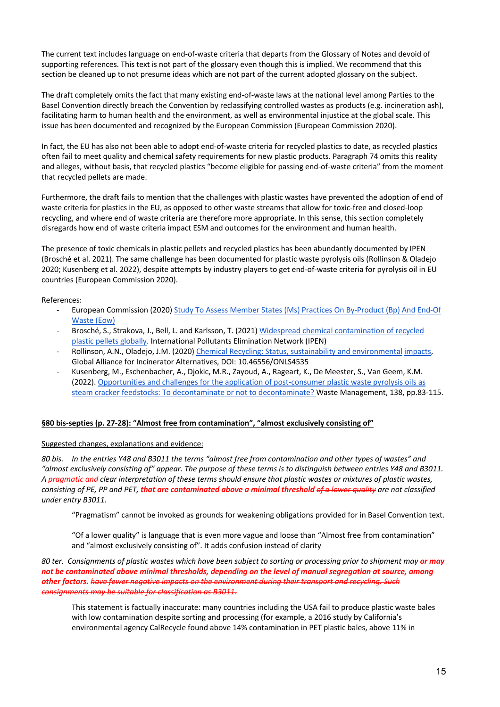The current text includes language on end-of-waste criteria that departs from the Glossary of Notes and devoid of supporting references. This text is not part of the glossary even though this is implied. We recommend that this section be cleaned up to not presume ideas which are not part of the current adopted glossary on the subject.

The draft completely omits the fact that many existing end-of-waste laws at the national level among Parties to the Basel Convention directly breach the Convention by reclassifying controlled wastes as products (e.g. incineration ash), facilitating harm to human health and the environment, as well as environmental injustice at the global scale. This issue has been documented and recognized by the European Commission (European Commission 2020).

In fact, the EU has also not been able to adopt end-of-waste criteria for recycled plastics to date, as recycled plastics often fail to meet quality and chemical safety requirements for new plastic products. Paragraph 74 omits this reality and alleges, without basis, that recycled plastics "become eligible for passing end-of-waste criteria" from the moment that recycled pellets are made.

Furthermore, the draft fails to mention that the challenges with plastic wastes have prevented the adoption of end of waste criteria for plastics in the EU, as opposed to other waste streams that allow for toxic-free and closed-loop recycling, and where end of waste criteria are therefore more appropriate. In this sense, this section completely disregards how end of waste criteria impact ESM and outcomes for the environment and human health.

The presence of toxic chemicals in plastic pellets and recycled plastics has been abundantly documented by IPEN (Brosché et al. 2021). The same challenge has been documented for plastic waste pyrolysis oils (Rollinson & Oladejo 2020; Kusenberg et al. 2022), despite attempts by industry players to get end-of-waste criteria for pyrolysis oil in EU countries (European Commission 2020).

#### References:

- European Commission (2020) Study To Assess Member States (Ms) Practices On By-Product (Bp) And End-Of Waste (Eow)
- Brosché, S., Strakova, J., Bell, L. and Karlsson, T. (2021) Widespread chemical contamination of recycled plastic pellets globally. International Pollutants Elimination Network (IPEN)
- Rollinson, A.N., Oladejo, J.M. (2020) Chemical Recycling: Status, sustainability and environmental impacts, Global Alliance for Incinerator Alternatives, DOI: 10.46556/ONLS4535
- Kusenberg, M., Eschenbacher, A., Djokic, M.R., Zayoud, A., Rageart, K., De Meester, S., Van Geem, K.M. (2022). Opportunities and challenges for the application of post-consumer plastic waste pyrolysis oils as steam cracker feedstocks: To decontaminate or not to decontaminate? Waste Management, 138, pp.83-115.

#### **§80 bis-septies (p. 27-28): "Almost free from contamination", "almost exclusively consisting of"**

#### Suggested changes, explanations and evidence:

*80 bis. In the entries Y48 and B3011 the terms "almost free from contamination and other types of wastes" and "almost exclusively consisting of" appear. The purpose of these terms is to distinguish between entries Y48 and B3011. A pragmatic and clear interpretation of these terms should ensure that plastic wastes or mixtures of plastic wastes, consisting of PE, PP and PET, that are contaminated above a minimal threshold of a lower quality are not classified under entry B3011.*

"Pragmatism" cannot be invoked as grounds for weakening obligations provided for in Basel Convention text.

"Of a lower quality" is language that is even more vague and loose than "Almost free from contamination" and "almost exclusively consisting of". It adds confusion instead of clarity

*80 ter. Consignments of plastic wastes which have been subject to sorting or processing prior to shipment may or may not be contaminated above minimal thresholds, depending on the level of manual segregation at source, among other factors. have fewer negative impacts on the environment during their transport and recycling. Such consignments may be suitable for classification as B3011.*

This statement is factually inaccurate: many countries including the USA fail to produce plastic waste bales with low contamination despite sorting and processing (for example, a 2016 study by California's environmental agency CalRecycle found above 14% contamination in PET plastic bales, above 11% in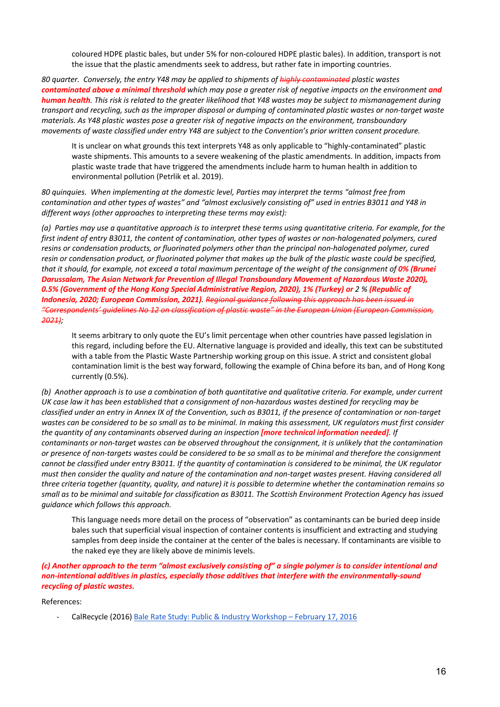coloured HDPE plastic bales, but under 5% for non-coloured HDPE plastic bales). In addition, transport is not the issue that the plastic amendments seek to address, but rather fate in importing countries.

*80 quarter. Conversely, the entry Y48 may be applied to shipments of highly contaminated plastic wastes contaminated above a minimal threshold which may pose a greater risk of negative impacts on the environment and human health. This risk is related to the greater likelihood that Y48 wastes may be subject to mismanagement during transport and recycling, such as the improper disposal or dumping of contaminated plastic wastes or non-target waste materials. As Y48 plastic wastes pose a greater risk of negative impacts on the environment, transboundary movements of waste classified under entry Y48 are subject to the Convention's prior written consent procedure.*

It is unclear on what grounds this text interprets Y48 as only applicable to "highly-contaminated" plastic waste shipments. This amounts to a severe weakening of the plastic amendments. In addition, impacts from plastic waste trade that have triggered the amendments include harm to human health in addition to environmental pollution (Petrlik et al. 2019).

*80 quinquies. When implementing at the domestic level, Parties may interpret the terms "almost free from*  contamination and other types of wastes" and "almost exclusively consisting of" used in entries B3011 and Y48 in *different ways (other approaches to interpreting these terms may exist):*

*(a) Parties may use a quantitative approach is to interpret these terms using quantitative criteria. For example, for the first indent of entry B3011, the content of contamination, other types of wastes or non-halogenated polymers, cured resins or condensation products, or fluorinated polymers other than the principal non-halogenated polymer, cured resin or condensation product, or fluorinated polymer that makes up the bulk of the plastic waste could be specified, that it should, for example, not exceed a total maximum percentage of the weight of the consignment of 0% (Brunei Darussalam, The Asian Network for Prevention of Illegal Transboundary Movement of Hazardous Waste 2020), 0.5% (Government of the Hong Kong Special Administrative Region, 2020), 1% (Turkey) or 2 % (Republic of Indonesia, 2020; European Commission, 2021). Regional guidance following this approach has been issued in "Correspondents' guidelines No 12 on classification of plastic waste" in the European Union (European Commission, 2021);*

It seems arbitrary to only quote the EU's limit percentage when other countries have passed legislation in this regard, including before the EU. Alternative language is provided and ideally, this text can be substituted with a table from the Plastic Waste Partnership working group on this issue. A strict and consistent global contamination limit is the best way forward, following the example of China before its ban, and of Hong Kong currently (0.5%).

*(b) Another approach is to use a combination of both quantitative and qualitative criteria. For example, under current UK case law it has been established that a consignment of non-hazardous wastes destined for recycling may be classified under an entry in Annex IX of the Convention, such as B3011, if the presence of contamination or non-target*  wastes can be considered to be so small as to be minimal. In making this assessment, UK regulators must first consider *the quantity of any contaminants observed during an inspection [more technical information needed]. If contaminants or non-target wastes can be observed throughout the consignment, it is unlikely that the contamination or presence of non-targets wastes could be considered to be so small as to be minimal and therefore the consignment cannot be classified under entry B3011. If the quantity of contamination is considered to be minimal, the UK regulator must then consider the quality and nature of the contamination and non-target wastes present. Having considered all three criteria together (quantity, quality, and nature) it is possible to determine whether the contamination remains so small as to be minimal and suitable for classification as B3011. The Scottish Environment Protection Agency has issued guidance which follows this approach.*

This language needs more detail on the process of "observation" as contaminants can be buried deep inside bales such that superficial visual inspection of container contents is insufficient and extracting and studying samples from deep inside the container at the center of the bales is necessary. If contaminants are visible to the naked eye they are likely above de minimis levels.

*(c) Another approach to the term "almost exclusively consisting of" a single polymer is to consider intentional and non-intentional additives in plastics, especially those additives that interfere with the environmentally-sound recycling of plastic wastes.*

References:

- CalRecycle (2016) Bale Rate Study: Public & Industry Workshop – February 17, 2016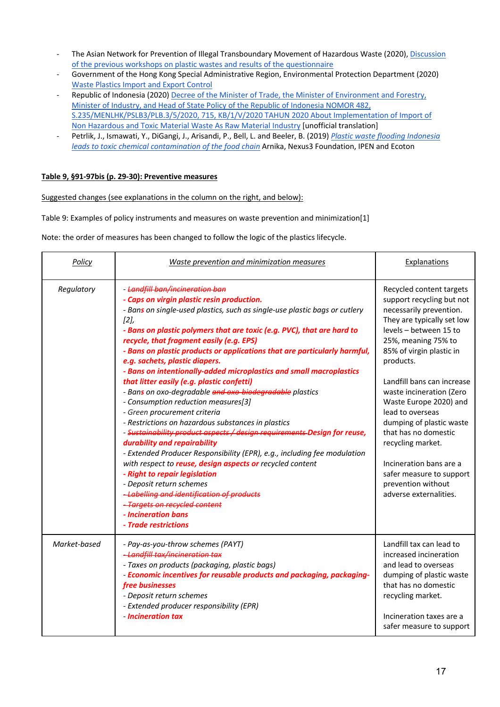- The Asian Network for Prevention of Illegal Transboundary Movement of Hazardous Waste (2020), Discussion of the previous workshops on plastic wastes and results of the questionnaire
- Government of the Hong Kong Special Administrative Region, Environmental Protection Department (2020) Waste Plastics Import and Export Control
- Republic of Indonesia (2020) Decree of the Minister of Trade, the Minister of Environment and Forestry, Minister of Industry, and Head of State Policy of the Republic of Indonesia NOMOR 482, S.235/MENLHK/PSLB3/PLB.3/5/2020, 715, KB/1/V/2020 TAHUN 2020 About Implementation of Import of Non Hazardous and Toxic Material Waste As Raw Material Industry [unofficial translation]
- Petrlik, J., Ismawati, Y., DiGangi, J., Arisandi, P., Bell, L. and Beeler, B. (2019) *Plastic waste flooding Indonesia leads to toxic chemical contamination of the food chain* Arnika, Nexus3 Foundation, IPEN and Ecoton

#### **Table 9, §91-97bis (p. 29-30): Preventive measures**

Suggested changes (see explanations in the column on the right, and below):

Table 9: Examples of policy instruments and measures on waste prevention and minimization[1]

Note: the order of measures has been changed to follow the logic of the plastics lifecycle.

| Policy       | Waste prevention and minimization measures                                                                                                                                                                                                                                                                                                                                                                                                                                                                                                                                                                                                                                                                                                                                                                                                                                                                                                                                                                                                                                                                                                                         | <b>Explanations</b>                                                                                                                                                                                                                                                                                                                                                                                                                                                                              |
|--------------|--------------------------------------------------------------------------------------------------------------------------------------------------------------------------------------------------------------------------------------------------------------------------------------------------------------------------------------------------------------------------------------------------------------------------------------------------------------------------------------------------------------------------------------------------------------------------------------------------------------------------------------------------------------------------------------------------------------------------------------------------------------------------------------------------------------------------------------------------------------------------------------------------------------------------------------------------------------------------------------------------------------------------------------------------------------------------------------------------------------------------------------------------------------------|--------------------------------------------------------------------------------------------------------------------------------------------------------------------------------------------------------------------------------------------------------------------------------------------------------------------------------------------------------------------------------------------------------------------------------------------------------------------------------------------------|
| Regulatory   | - Landfill ban/incineration ban<br>- Caps on virgin plastic resin production.<br>- Bans on single-used plastics, such as single-use plastic bags or cutlery<br>[2]<br>- Bans on plastic polymers that are toxic (e.g. PVC), that are hard to<br>recycle, that fragment easily (e.g. EPS)<br>- Bans on plastic products or applications that are particularly harmful,<br>e.g. sachets, plastic diapers.<br>- Bans on intentionally-added microplastics and small macroplastics<br>that litter easily (e.g. plastic confetti)<br>- Bans on oxo-degradable and oxo-biodegradable plastics<br>- Consumption reduction measures[3]<br>- Green procurement criteria<br>- Restrictions on hazardous substances in plastics<br>- Sustainability product aspects / design requirements Design for reuse,<br>durability and repairability<br>- Extended Producer Responsibility (EPR), e.g., including fee modulation<br>with respect to reuse, design aspects or recycled content<br>- Right to repair legislation<br>- Deposit return schemes<br>-Labelling and identification of products<br>-Targets on recycled content<br>- Incineration bans<br>- Trade restrictions | Recycled content targets<br>support recycling but not<br>necessarily prevention.<br>They are typically set low<br>levels - between 15 to<br>25%, meaning 75% to<br>85% of virgin plastic in<br>products.<br>Landfill bans can increase<br>waste incineration (Zero<br>Waste Europe 2020) and<br>lead to overseas<br>dumping of plastic waste<br>that has no domestic<br>recycling market.<br>Incineration bans are a<br>safer measure to support<br>prevention without<br>adverse externalities. |
| Market-based | - Pay-as-you-throw schemes (PAYT)<br>-Landfill tax/incineration tax<br>- Taxes on products (packaging, plastic bags)<br>- Economic incentives for reusable products and packaging, packaging-<br>free businesses<br>- Deposit return schemes<br>- Extended producer responsibility (EPR)<br>- Incineration tax                                                                                                                                                                                                                                                                                                                                                                                                                                                                                                                                                                                                                                                                                                                                                                                                                                                     | Landfill tax can lead to<br>increased incineration<br>and lead to overseas<br>dumping of plastic waste<br>that has no domestic<br>recycling market.<br>Incineration taxes are a<br>safer measure to support                                                                                                                                                                                                                                                                                      |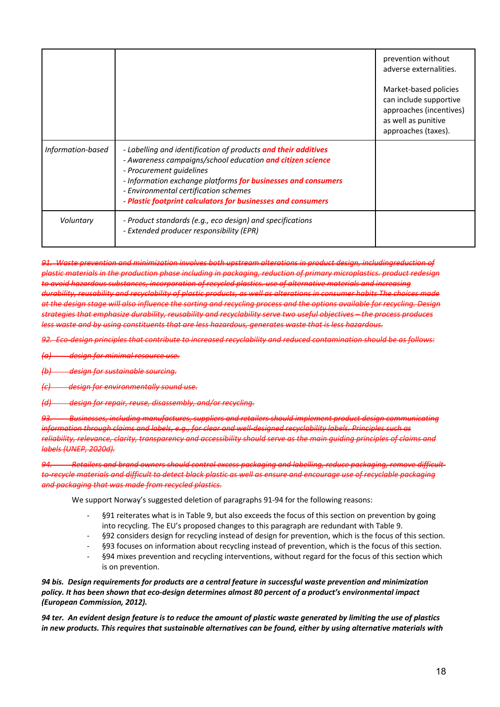|                   |                                                                                                                                                                                                                                                                                                                                    | prevention without<br>adverse externalities.<br>Market-based policies<br>can include supportive<br>approaches (incentives) |
|-------------------|------------------------------------------------------------------------------------------------------------------------------------------------------------------------------------------------------------------------------------------------------------------------------------------------------------------------------------|----------------------------------------------------------------------------------------------------------------------------|
|                   |                                                                                                                                                                                                                                                                                                                                    | as well as punitive<br>approaches (taxes).                                                                                 |
| Information-based | - Labelling and identification of products and their additives<br>- Awareness campaigns/school education and citizen science<br>- Procurement guidelines<br>- Information exchange platforms for businesses and consumers<br>- Environmental certification schemes<br>- Plastic footprint calculators for businesses and consumers |                                                                                                                            |
| Voluntary         | - Product standards (e.g., eco design) and specifications<br>- Extended producer responsibility (EPR)                                                                                                                                                                                                                              |                                                                                                                            |

*91. Waste prevention and minimization involves both upstream alterations in product design, includingreduction of plastic materials in the production phase including in packaging, reduction of primary microplastics. product redesign to avoid hazardous substances, incorporation of recycled plastics. use of alternative materials and increasing durability, reusability and recyclability of plastic products, as well as alterations in consumer habits The choices made at the design stage will also influence the sorting and recycling process and the options available for recycling. Design strategies that emphasize durability, reusability and recyclability serve two useful objectives – the process produces less waste and by using constituents that are less hazardous, generates waste that is less hazardous.*

*92. Eco-design principles that contribute to increased recyclability and reduced contamination should be as follows:*

*(a) design for minimal resource use.*

*(b) design for sustainable sourcing.*

*(c) design for environmentally sound use.*

*(d) design for repair, reuse, disassembly, and/or recycling.*

*93. Businesses, including manufactures, suppliers and retailers should implement product design communicating information through claims and labels, e.g., for clear and well-designed recyclability labels. Principles such as reliability, relevance, clarity, transparency and accessibility should serve as the main guiding principles of claims and labels (UNEP, 2020d).*

*94. Retailers and brand owners should control excess packaging and labelling, reduce packaging, remove difficultto-recycle materials and difficult to detect black plastic as well as ensure and encourage use of recyclable packaging and packaging that was made from recycled plastics.*

We support Norway's suggested deletion of paragraphs 91-94 for the following reasons:

- §91 reiterates what is in Table 9, but also exceeds the focus of this section on prevention by going into recycling. The EU's proposed changes to this paragraph are redundant with Table 9.
- §92 considers design for recycling instead of design for prevention, which is the focus of this section.
- §93 focuses on information about recycling instead of prevention, which is the focus of this section.
- §94 mixes prevention and recycling interventions, without regard for the focus of this section which is on prevention.

*94 bis. Design requirements for products are a central feature in successful waste prevention and minimization policy. It has been shown that eco-design determines almost 80 percent of a product's environmental impact (European Commission, 2012).*

*94 ter. An evident design feature is to reduce the amount of plastic waste generated by limiting the use of plastics in new products. This requires that sustainable alternatives can be found, either by using alternative materials with*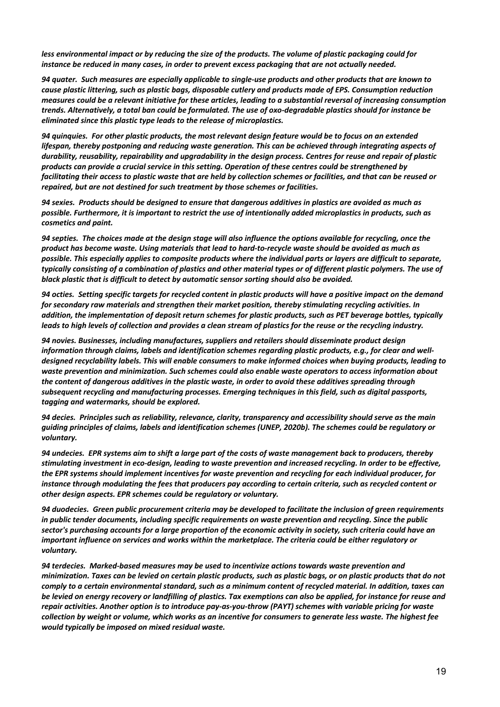*less environmental impact or by reducing the size of the products. The volume of plastic packaging could for instance be reduced in many cases, in order to prevent excess packaging that are not actually needed.*

*94 quater. Such measures are especially applicable to single-use products and other products that are known to cause plastic littering, such as plastic bags, disposable cutlery and products made of EPS. Consumption reduction measures could be a relevant initiative for these articles, leading to a substantial reversal of increasing consumption trends. Alternatively, a total ban could be formulated. The use of oxo-degradable plastics should for instance be eliminated since this plastic type leads to the release of microplastics.*

*94 quinquies. For other plastic products, the most relevant design feature would be to focus on an extended lifespan, thereby postponing and reducing waste generation. This can be achieved through integrating aspects of durability, reusability, repairability and upgradability in the design process. Centres for reuse and repair of plastic products can provide a crucial service in this setting. Operation of these centres could be strengthened by facilitating their access to plastic waste that are held by collection schemes or facilities, and that can be reused or repaired, but are not destined for such treatment by those schemes or facilities.*

*94 sexies. Products should be designed to ensure that dangerous additives in plastics are avoided as much as possible. Furthermore, it is important to restrict the use of intentionally added microplastics in products, such as cosmetics and paint.*

*94 septies. The choices made at the design stage will also influence the options available for recycling, once the product has become waste. Using materials that lead to hard-to-recycle waste should be avoided as much as possible. This especially applies to composite products where the individual parts or layers are difficult to separate, typically consisting of a combination of plastics and other material types or of different plastic polymers. The use of black plastic that is difficult to detect by automatic sensor sorting should also be avoided.*

*94 octies. Setting specific targets for recycled content in plastic products will have a positive impact on the demand for secondary raw materials and strengthen their market position, thereby stimulating recycling activities. In addition, the implementation of deposit return schemes for plastic products, such as PET beverage bottles, typically leads to high levels of collection and provides a clean stream of plastics for the reuse or the recycling industry.*

*94 novies. Businesses, including manufactures, suppliers and retailers should disseminate product design information through claims, labels and identification schemes regarding plastic products, e.g., for clear and welldesigned recyclability labels. This will enable consumers to make informed choices when buying products, leading to waste prevention and minimization. Such schemes could also enable waste operators to access information about the content of dangerous additives in the plastic waste, in order to avoid these additives spreading through subsequent recycling and manufacturing processes. Emerging techniques in this field, such as digital passports, tagging and watermarks, should be explored.*

*94 decies. Principles such as reliability, relevance, clarity, transparency and accessibility should serve as the main guiding principles of claims, labels and identification schemes (UNEP, 2020b). The schemes could be regulatory or voluntary.*

*94 undecies. EPR systems aim to shift a large part of the costs of waste management back to producers, thereby stimulating investment in eco-design, leading to waste prevention and increased recycling. In order to be effective, the EPR systems should implement incentives for waste prevention and recycling for each individual producer, for instance through modulating the fees that producers pay according to certain criteria, such as recycled content or other design aspects. EPR schemes could be regulatory or voluntary.*

*94 duodecies. Green public procurement criteria may be developed to facilitate the inclusion of green requirements in public tender documents, including specific requirements on waste prevention and recycling. Since the public sector's purchasing accounts for a large proportion of the economic activity in society, such criteria could have an important influence on services and works within the marketplace. The criteria could be either regulatory or voluntary.*

*94 terdecies. Marked-based measures may be used to incentivize actions towards waste prevention and minimization. Taxes can be levied on certain plastic products, such as plastic bags, or on plastic products that do not comply to a certain environmental standard, such as a minimum content of recycled material. In addition, taxes can be levied on energy recovery or landfilling of plastics. Tax exemptions can also be applied, for instance for reuse and repair activities. Another option is to introduce pay-as-you-throw (PAYT) schemes with variable pricing for waste collection by weight or volume, which works as an incentive for consumers to generate less waste. The highest fee would typically be imposed on mixed residual waste.*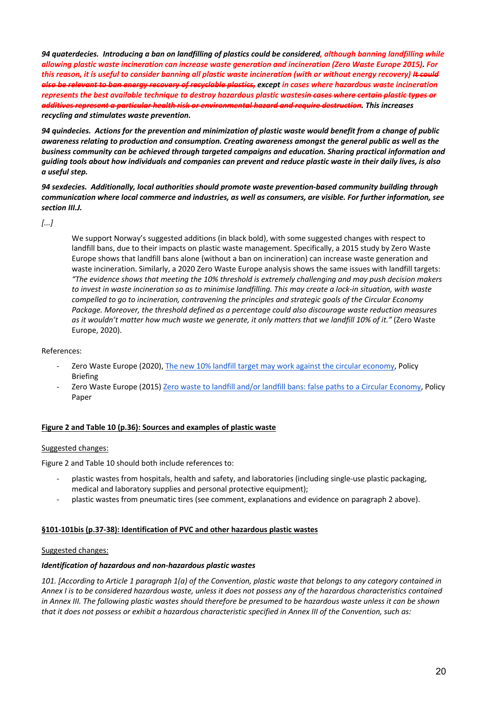*94 quaterdecies. Introducing a ban on landfilling of plastics could be considered, although banning landfilling while allowing plastic waste incineration can increase waste generation and incineration (Zero Waste Europe 2015). For this reason, it is useful to consider banning all plastic waste incineration (with or without energy recovery) It could also be relevant to ban energy recovery of recyclable plastics, except in cases where hazardous waste incineration represents the best available technique to destroy hazardous plastic wastesin cases where certain plastic types or additives represent a particular health risk or environmental hazard and require destruction. This increases recycling and stimulates waste prevention.*

*94 quindecies. Actions for the prevention and minimization of plastic waste would benefit from a change of public awareness relating to production and consumption. Creating awareness amongst the general public as well as the business community can be achieved through targeted campaigns and education. Sharing practical information and guiding tools about how individuals and companies can prevent and reduce plastic waste in their daily lives, is also a useful step.*

*94 sexdecies. Additionally, local authorities should promote waste prevention-based community building through communication where local commerce and industries, as well as consumers, are visible. For further information, see section III.J.*

*[...]*

We support Norway's suggested additions (in black bold), with some suggested changes with respect to landfill bans, due to their impacts on plastic waste management. Specifically, a 2015 study by Zero Waste Europe shows that landfill bans alone (without a ban on incineration) can increase waste generation and waste incineration. Similarly, a 2020 Zero Waste Europe analysis shows the same issues with landfill targets: *"The evidence shows that meeting the 10% threshold is extremely challenging and may push decision makers*  to invest in waste incineration so as to minimise landfilling. This may create a lock-in situation, with waste *compelled to go to incineration, contravening the principles and strategic goals of the Circular Economy Package. Moreover, the threshold defined as a percentage could also discourage waste reduction measures as it wouldn't matter how much waste we generate, it only matters that we landfill 10% of it."* (Zero Waste Europe, 2020).

References:

- Zero Waste Europe (2020), The new 10% landfill target may work against the circular economy, Policy Briefing
- Zero Waste Europe (2015) Zero waste to landfill and/or landfill bans: false paths to a Circular Economy, Policy Paper

#### **Figure 2 and Table 10 (p.36): Sources and examples of plastic waste**

#### Suggested changes:

Figure 2 and Table 10 should both include references to:

- plastic wastes from hospitals, health and safety, and laboratories (including single-use plastic packaging, medical and laboratory supplies and personal protective equipment);
- plastic wastes from pneumatic tires (see comment, explanations and evidence on paragraph 2 above).

#### **§101-101bis (p.37-38): Identification of PVC and other hazardous plastic wastes**

#### Suggested changes:

#### *Identification of hazardous and non-hazardous plastic wastes*

*101. [According to Article 1 paragraph 1(a) of the Convention, plastic waste that belongs to any category contained in Annex I is to be considered hazardous waste, unless it does not possess any of the hazardous characteristics contained in Annex III. The following plastic wastes should therefore be presumed to be hazardous waste unless it can be shown that it does not possess or exhibit a hazardous characteristic specified in Annex III of the Convention, such as:*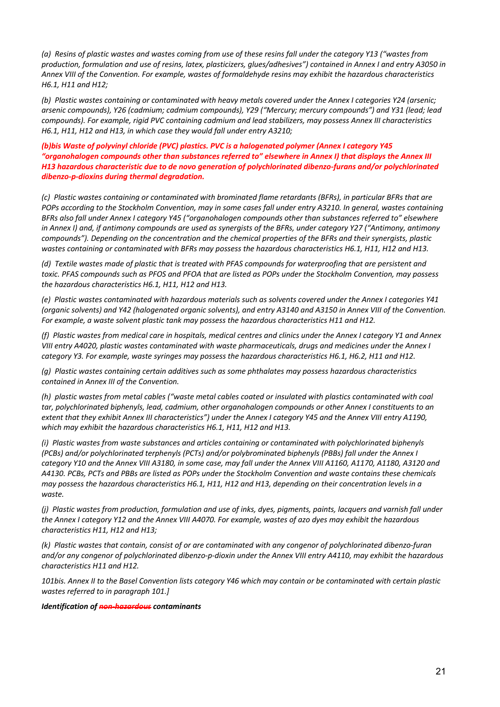*(a) Resins of plastic wastes and wastes coming from use of these resins fall under the category Y13 ("wastes from production, formulation and use of resins, latex, plasticizers, glues/adhesives") contained in Annex I and entry A3050 in Annex VIII of the Convention. For example, wastes of formaldehyde resins may exhibit the hazardous characteristics H6.1, H11 and H12;*

*(b) Plastic wastes containing or contaminated with heavy metals covered under the Annex I categories Y24 (arsenic; arsenic compounds), Y26 (cadmium; cadmium compounds), Y29 ("Mercury; mercury compounds") and Y31 (lead; lead compounds). For example, rigid PVC containing cadmium and lead stabilizers, may possess Annex III characteristics H6.1, H11, H12 and H13, in which case they would fall under entry A3210;*

*(b)bis Waste of polyvinyl chloride (PVC) plastics. PVC is a halogenated polymer (Annex I category Y45 "organohalogen compounds other than substances referred to" elsewhere in Annex I) that displays the Annex III H13 hazardous characteristic due to de novo generation of polychlorinated dibenzo-furans and/or polychlorinated dibenzo-p-dioxins during thermal degradation.*

*(c) Plastic wastes containing or contaminated with brominated flame retardants (BFRs), in particular BFRs that are POPs according to the Stockholm Convention, may in some cases fall under entry A3210. In general, wastes containing BFRs also fall under Annex I category Y45 ("organohalogen compounds other than substances referred to" elsewhere in Annex I) and, if antimony compounds are used as synergists of the BFRs, under category Y27 ("Antimony, antimony compounds"). Depending on the concentration and the chemical properties of the BFRs and their synergists, plastic wastes containing or contaminated with BFRs may possess the hazardous characteristics H6.1, H11, H12 and H13.*

*(d) Textile wastes made of plastic that is treated with PFAS compounds for waterproofing that are persistent and toxic. PFAS compounds such as PFOS and PFOA that are listed as POPs under the Stockholm Convention, may possess the hazardous characteristics H6.1, H11, H12 and H13.*

*(e) Plastic wastes contaminated with hazardous materials such as solvents covered under the Annex I categories Y41 (organic solvents) and Y42 (halogenated organic solvents), and entry A3140 and A3150 in Annex VIII of the Convention. For example, a waste solvent plastic tank may possess the hazardous characteristics H11 and H12.*

*(f) Plastic wastes from medical care in hospitals, medical centres and clinics under the Annex I category Y1 and Annex VIII entry A4020, plastic wastes contaminated with waste pharmaceuticals, drugs and medicines under the Annex I category Y3. For example, waste syringes may possess the hazardous characteristics H6.1, H6.2, H11 and H12.*

*(g) Plastic wastes containing certain additives such as some phthalates may possess hazardous characteristics contained in Annex III of the Convention.*

*(h) plastic wastes from metal cables ("waste metal cables coated or insulated with plastics contaminated with coal tar, polychlorinated biphenyls, lead, cadmium, other organohalogen compounds or other Annex I constituents to an extent that they exhibit Annex III characteristics") under the Annex I category Y45 and the Annex VIII entry A1190, which may exhibit the hazardous characteristics H6.1, H11, H12 and H13.*

*(i) Plastic wastes from waste substances and articles containing or contaminated with polychlorinated biphenyls (PCBs) and/or polychlorinated terphenyls (PCTs) and/or polybrominated biphenyls (PBBs) fall under the Annex I*  category Y10 and the Annex VIII A3180, in some case, may fall under the Annex VIII A1160, A1170, A1180, A3120 and *A4130. PCBs, PCTs and PBBs are listed as POPs under the Stockholm Convention and waste contains these chemicals may possess the hazardous characteristics H6.1, H11, H12 and H13, depending on their concentration levels in a waste.*

*(j) Plastic wastes from production, formulation and use of inks, dyes, pigments, paints, lacquers and varnish fall under the Annex I category Y12 and the Annex VIII A4070. For example, wastes of azo dyes may exhibit the hazardous characteristics H11, H12 and H13;*

*(k) Plastic wastes that contain, consist of or are contaminated with any congenor of polychlorinated dibenzo-furan and/or any congenor of polychlorinated dibenzo-p-dioxin under the Annex VIII entry A4110, may exhibit the hazardous characteristics H11 and H12.*

*101bis. Annex II to the Basel Convention lists category Y46 which may contain or be contaminated with certain plastic wastes referred to in paragraph 101.]*

#### *Identification of non-hazardous contaminants*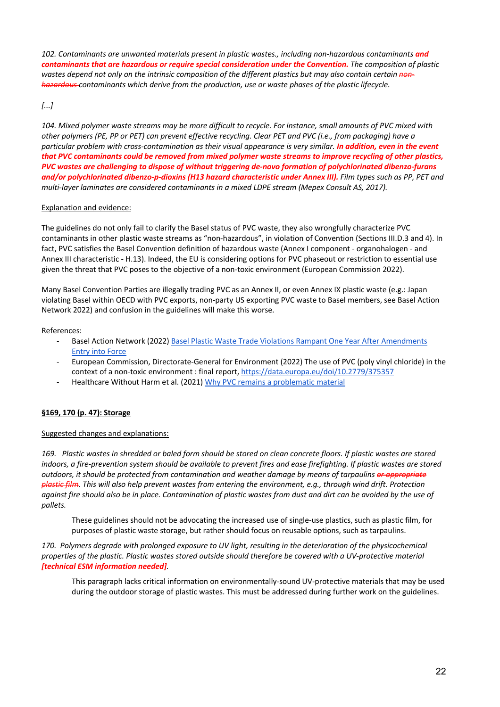*102. Contaminants are unwanted materials present in plastic wastes., including non-hazardous contaminants and contaminants that are hazardous or require special consideration under the Convention. The composition of plastic wastes depend not only on the intrinsic composition of the different plastics but may also contain certain nonhazardous contaminants which derive from the production, use or waste phases of the plastic lifecycle.*

#### *[...]*

*104. Mixed polymer waste streams may be more difficult to recycle. For instance, small amounts of PVC mixed with other polymers (PE, PP or PET) can prevent effective recycling. Clear PET and PVC (i.e., from packaging) have a particular problem with cross-contamination as their visual appearance is very similar. In addition, even in the event that PVC contaminants could be removed from mixed polymer waste streams to improve recycling of other plastics, PVC wastes are challenging to dispose of without triggering de-novo formation of polychlorinated dibenzo-furans and/or polychlorinated dibenzo-p-dioxins (H13 hazard characteristic under Annex III). Film types such as PP, PET and multi-layer laminates are considered contaminants in a mixed LDPE stream (Mepex Consult AS, 2017).*

#### Explanation and evidence:

The guidelines do not only fail to clarify the Basel status of PVC waste, they also wrongfully characterize PVC contaminants in other plastic waste streams as "non-hazardous", in violation of Convention (Sections III.D.3 and 4). In fact, PVC satisfies the Basel Convention definition of hazardous waste (Annex I component - organohalogen - and Annex III characteristic - H.13). Indeed, the EU is considering options for PVC phaseout or restriction to essential use given the threat that PVC poses to the objective of a non-toxic environment (European Commission 2022).

Many Basel Convention Parties are illegally trading PVC as an Annex II, or even Annex IX plastic waste (e.g.: Japan violating Basel within OECD with PVC exports, non-party US exporting PVC waste to Basel members, see Basel Action Network 2022) and confusion in the guidelines will make this worse.

#### References:

- Basel Action Network (2022) Basel Plastic Waste Trade Violations Rampant One Year After Amendments Entry into Force
- European Commission, Directorate-General for Environment (2022) The use of PVC (poly vinyl chloride) in the context of a non-toxic environment : final report, https://data.europa.eu/doi/10.2779/375357
- Healthcare Without Harm et al. (2021) Why PVC remains a problematic material

#### **§169, 170 (p. 47): Storage**

#### Suggested changes and explanations:

*169. Plastic wastes in shredded or baled form should be stored on clean concrete floors. If plastic wastes are stored indoors, a fire-prevention system should be available to prevent fires and ease firefighting. If plastic wastes are stored outdoors, it should be protected from contamination and weather damage by means of tarpaulins or appropriate plastic film. This will also help prevent wastes from entering the environment, e.g., through wind drift. Protection against fire should also be in place. Contamination of plastic wastes from dust and dirt can be avoided by the use of pallets.*

These guidelines should not be advocating the increased use of single-use plastics, such as plastic film, for purposes of plastic waste storage, but rather should focus on reusable options, such as tarpaulins.

*170. Polymers degrade with prolonged exposure to UV light, resulting in the deterioration of the physicochemical properties of the plastic. Plastic wastes stored outside should therefore be covered with a UV-protective material [technical ESM information needed].*

This paragraph lacks critical information on environmentally-sound UV-protective materials that may be used during the outdoor storage of plastic wastes. This must be addressed during further work on the guidelines.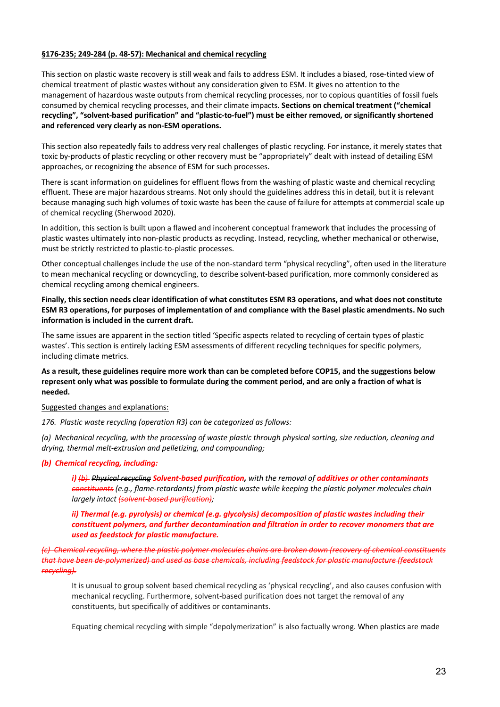#### **§176-235; 249-284 (p. 48-57): Mechanical and chemical recycling**

This section on plastic waste recovery is still weak and fails to address ESM. It includes a biased, rose-tinted view of chemical treatment of plastic wastes without any consideration given to ESM. It gives no attention to the management of hazardous waste outputs from chemical recycling processes, nor to copious quantities of fossil fuels consumed by chemical recycling processes, and their climate impacts. **Sections on chemical treatment ("chemical recycling", "solvent-based purification" and "plastic-to-fuel") must be either removed, or significantly shortened and referenced very clearly as non-ESM operations.**

This section also repeatedly fails to address very real challenges of plastic recycling. For instance, it merely states that toxic by-products of plastic recycling or other recovery must be "appropriately" dealt with instead of detailing ESM approaches, or recognizing the absence of ESM for such processes.

There is scant information on guidelines for effluent flows from the washing of plastic waste and chemical recycling effluent. These are major hazardous streams. Not only should the guidelines address this in detail, but it is relevant because managing such high volumes of toxic waste has been the cause of failure for attempts at commercial scale up of chemical recycling (Sherwood 2020).

In addition, this section is built upon a flawed and incoherent conceptual framework that includes the processing of plastic wastes ultimately into non-plastic products as recycling. Instead, recycling, whether mechanical or otherwise, must be strictly restricted to plastic-to-plastic processes.

Other conceptual challenges include the use of the non-standard term "physical recycling", often used in the literature to mean mechanical recycling or downcycling, to describe solvent-based purification, more commonly considered as chemical recycling among chemical engineers.

**Finally, this section needs clear identification of what constitutes ESM R3 operations, and what does not constitute ESM R3 operations, for purposes of implementation of and compliance with the Basel plastic amendments. No such information is included in the current draft.**

The same issues are apparent in the section titled 'Specific aspects related to recycling of certain types of plastic wastes'. This section is entirely lacking ESM assessments of different recycling techniques for specific polymers, including climate metrics.

#### **As a result, these guidelines require more work than can be completed before COP15, and the suggestions below represent only what was possible to formulate during the comment period, and are only a fraction of what is needed.**

Suggested changes and explanations:

*176. Plastic waste recycling (operation R3) can be categorized as follows:*

*(a) Mechanical recycling, with the processing of waste plastic through physical sorting, size reduction, cleaning and drying, thermal melt-extrusion and pelletizing, and compounding;*

#### *(b) Chemical recycling, including:*

*i) (b) Physical recycling Solvent-based purification, with the removal of additives or other contaminants constituents (e.g., flame-retardants) from plastic waste while keeping the plastic polymer molecules chain largely intact (solvent-based purification);*

*ii) Thermal (e.g. pyrolysis) or chemical (e.g. glycolysis) decomposition of plastic wastes including their constituent polymers, and further decontamination and filtration in order to recover monomers that are used as feedstock for plastic manufacture.* 

*(c) Chemical recycling, where the plastic polymer molecules chains are broken down (recovery of chemical constituents that have been de-polymerized) and used as base chemicals, including feedstock for plastic manufacture (feedstock recycling).*

It is unusual to group solvent based chemical recycling as 'physical recycling', and also causes confusion with mechanical recycling. Furthermore, solvent-based purification does not target the removal of any constituents, but specifically of additives or contaminants.

Equating chemical recycling with simple "depolymerization" is also factually wrong. When plastics are made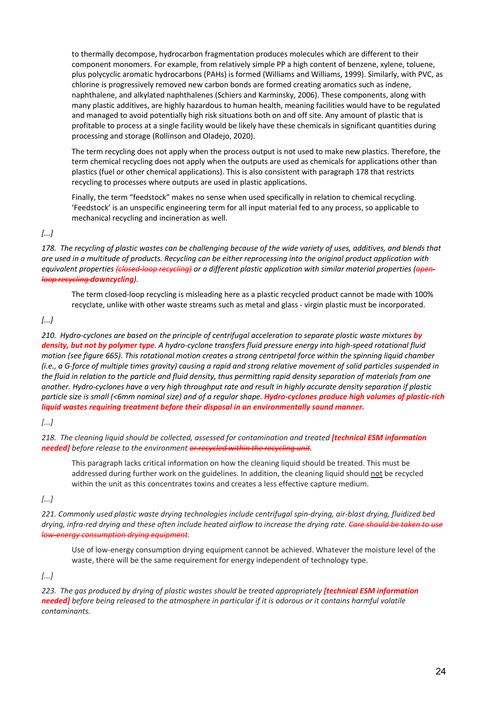to thermally decompose, hydrocarbon fragmentation produces molecules which are different to their component monomers. For example, from relatively simple PP a high content of benzene, xylene, toluene, plus polycyclic aromatic hydrocarbons (PAHs) is formed (Williams and Williams, 1999). Similarly, with PVC, as chlorine is progressively removed new carbon bonds are formed creating aromatics such as indene, naphthalene, and alkylated naphthalenes (Schiers and Karminsky, 2006). These components, along with many plastic additives, are highly hazardous to human health, meaning facilities would have to be regulated and managed to avoid potentially high risk situations both on and off site. Any amount of plastic that is profitable to process at a single facility would be likely have these chemicals in significant quantities during processing and storage (Rollinson and Oladejo, 2020).

The term recycling does not apply when the process output is not used to make new plastics. Therefore, the term chemical recycling does not apply when the outputs are used as chemicals for applications other than plastics (fuel or other chemical applications). This is also consistent with paragraph 178 that restricts recycling to processes where outputs are used in plastic applications.

Finally, the term "feedstock" makes no sense when used specifically in relation to chemical recycling. 'Feedstock' is an unspecific engineering term for all input material fed to any process, so applicable to mechanical recycling and incineration as well.

*[...]*

*178. The recycling of plastic wastes can be challenging because of the wide variety of uses, additives, and blends that are used in a multitude of products. Recycling can be either reprocessing into the original product application with equivalent properties (closed-loop recycling) or a different plastic application with similar material properties (openloop recycling downcycling).*

The term closed-loop recycling is misleading here as a plastic recycled product cannot be made with 100% recyclate, unlike with other waste streams such as metal and glass - virgin plastic must be incorporated.

#### *[...]*

*210. Hydro-cyclones are based on the principle of centrifugal acceleration to separate plastic waste mixtures by density, but not by polymer type. A hydro-cyclone transfers fluid pressure energy into high-speed rotational fluid motion (see figure 665). This rotational motion creates a strong centripetal force within the spinning liquid chamber (i.e., a G-force of multiple times gravity) causing a rapid and strong relative movement of solid particles suspended in the fluid in relation to the particle and fluid density, thus permitting rapid density separation of materials from one another. Hydro-cyclones have a very high throughput rate and result in highly accurate density separation if plastic particle size is small (<6mm nominal size) and of a regular shape. Hydro-cyclones produce high volumes of plastic-rich liquid wastes requiring treatment before their disposal in an environmentally sound manner.*

#### *[...]*

*218. The cleaning liquid should be collected, assessed for contamination and treated [technical ESM information needed] before release to the environment or recycled within the recycling unit.*

This paragraph lacks critical information on how the cleaning liquid should be treated. This must be addressed during further work on the guidelines. In addition, the cleaning liquid should not be recycled within the unit as this concentrates toxins and creates a less effective capture medium.

*[...]*

*221. Commonly used plastic waste drying technologies include centrifugal spin-drying, air-blast drying, fluidized bed*  drying, infra-red drying and these often include heated airflow to increase the drying rate. Care should be *low-energy consumption drying equipment.*

Use of low-energy consumption drying equipment cannot be achieved. Whatever the moisture level of the waste, there will be the same requirement for energy independent of technology type.

*[...]*

*223. The gas produced by drying of plastic wastes should be treated appropriately [technical ESM information needed] before being released to the atmosphere in particular if it is odorous or it contains harmful volatile contaminants.*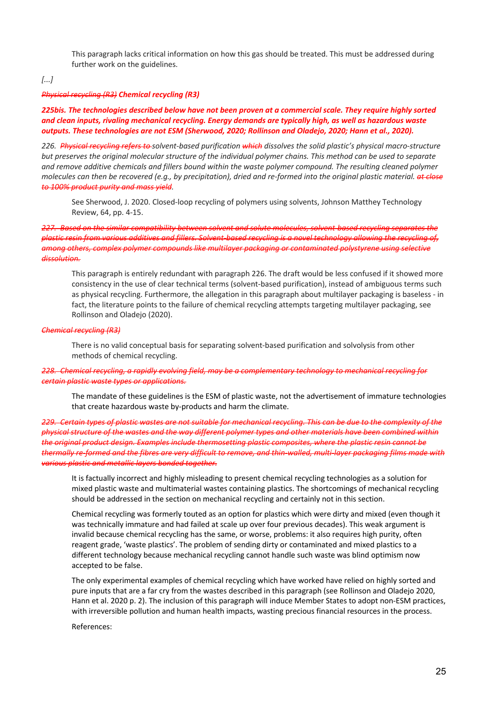This paragraph lacks critical information on how this gas should be treated. This must be addressed during further work on the guidelines.

#### *[...]*

#### *Physical recycling (R3) Chemical recycling (R3)*

#### *225bis. The technologies described below have not been proven at a commercial scale. They require highly sorted and clean inputs, rivaling mechanical recycling. Energy demands are typically high, as well as hazardous waste outputs. These technologies are not ESM (Sherwood, 2020; Rollinson and Oladejo, 2020; Hann et al., 2020).*

*226. Physical recycling refers to solvent-based purification which dissolves the solid plastic's physical macro-structure but preserves the original molecular structure of the individual polymer chains. This method can be used to separate and remove additive chemicals and fillers bound within the waste polymer compound. The resulting cleaned polymer molecules can then be recovered (e.g., by precipitation), dried and re-formed into the original plastic material. at close to 100% product purity and mass yield.*

See Sherwood, J. 2020. Closed-loop recycling of polymers using solvents, Johnson Matthey Technology Review, 64, pp. 4-15.

*227. Based on the similar compatibility between solvent and solute molecules, solvent-based recycling separates the plastic resin from various additives and fillers. Solvent-based recycling is a novel technology allowing the recycling of, among others, complex polymer compounds like multilayer packaging or contaminated polystyrene using selective dissolution.* 

This paragraph is entirely redundant with paragraph 226. The draft would be less confused if it showed more consistency in the use of clear technical terms (solvent-based purification), instead of ambiguous terms such as physical recycling. Furthermore, the allegation in this paragraph about multilayer packaging is baseless - in fact, the literature points to the failure of chemical recycling attempts targeting multilayer packaging, see Rollinson and Oladejo (2020).

#### *Chemical recycling (R3)*

There is no valid conceptual basis for separating solvent-based purification and solvolysis from other methods of chemical recycling.

*228. Chemical recycling, a rapidly evolving field, may be a complementary technology to mechanical recycling for certain plastic waste types or applications.*

The mandate of these guidelines is the ESM of plastic waste, not the advertisement of immature technologies that create hazardous waste by-products and harm the climate.

*229. Certain types of plastic wastes are not suitable for mechanical recycling. This can be due to the complexity of the physical structure of the wastes and the way different polymer types and other materials have been combined within the original product design. Examples include thermosetting plastic composites, where the plastic resin cannot be thermally re-formed and the fibres are very difficult to remove, and thin-walled, multi-layer packaging films made with various plastic and metallic layers bonded together.*

It is factually incorrect and highly misleading to present chemical recycling technologies as a solution for mixed plastic waste and multimaterial wastes containing plastics. The shortcomings of mechanical recycling should be addressed in the section on mechanical recycling and certainly not in this section.

Chemical recycling was formerly touted as an option for plastics which were dirty and mixed (even though it was technically immature and had failed at scale up over four previous decades). This weak argument is invalid because chemical recycling has the same, or worse, problems: it also requires high purity, often reagent grade, 'waste plastics'. The problem of sending dirty or contaminated and mixed plastics to a different technology because mechanical recycling cannot handle such waste was blind optimism now accepted to be false.

The only experimental examples of chemical recycling which have worked have relied on highly sorted and pure inputs that are a far cry from the wastes described in this paragraph (see Rollinson and Oladejo 2020, Hann et al. 2020 p. 2). The inclusion of this paragraph will induce Member States to adopt non-ESM practices, with irreversible pollution and human health impacts, wasting precious financial resources in the process.

#### References: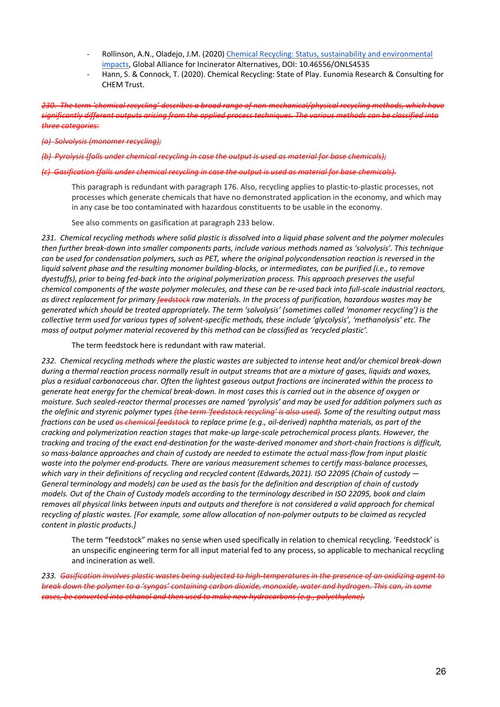- Rollinson, A.N., Oladejo, J.M. (2020) Chemical Recycling: Status, sustainability and environmental impacts, Global Alliance for Incinerator Alternatives, DOI: 10.46556/ONLS4535
- Hann, S. & Connock, T. (2020). Chemical Recycling: State of Play. Eunomia Research & Consulting for CHEM Trust.

*230. The term 'chemical recycling' describes a broad range of non-mechanical/physical recycling methods, which have significantly different outputs arising from the applied process techniques. The various methods can be classified into three categories:*

*(a) Solvolysis (monomer recycling);*

*(b) Pyrolysis (falls under chemical recycling in case the output is used as material for base chemicals);*

#### *(c) Gasification (falls under chemical recycling in case the output is used as material for base chemicals).*

This paragraph is redundant with paragraph 176. Also, recycling applies to plastic-to-plastic processes, not processes which generate chemicals that have no demonstrated application in the economy, and which may in any case be too contaminated with hazardous constituents to be usable in the economy.

See also comments on gasification at paragraph 233 below.

*231. Chemical recycling methods where solid plastic is dissolved into a liquid phase solvent and the polymer molecules then further break-down into smaller components parts, include various methods named as 'solvolysis'. This technique can be used for condensation polymers, such as PET, where the original polycondensation reaction is reversed in the liquid solvent phase and the resulting monomer building-blocks, or intermediates, can be purified (i.e., to remove dyestuffs), prior to being fed-back into the original polymerization process. This approach preserves the useful chemical components of the waste polymer molecules, and these can be re-used back into full-scale industrial reactors, as direct replacement for primary feedstock raw materials. In the process of purification, hazardous wastes may be generated which should be treated appropriately. The term 'solvolysis' (sometimes called 'monomer recycling') is the collective term used for various types of solvent-specific methods, these include 'glycolysis', 'methanolysis' etc. The mass of output polymer material recovered by this method can be classified as 'recycled plastic'.*

The term feedstock here is redundant with raw material.

*232. Chemical recycling methods where the plastic wastes are subjected to intense heat and/or chemical break-down during a thermal reaction process normally result in output streams that are a mixture of gases, liquids and waxes, plus a residual carbonaceous char. Often the lightest gaseous output fractions are incinerated within the process to generate heat energy for the chemical break-down. In most cases this is carried out in the absence of oxygen or moisture. Such sealed-reactor thermal processes are named 'pyrolysis' and may be used for addition polymers such as the olefinic and styrenic polymer types (the term 'feedstock recycling' is also used). Some of the resulting output mass fractions can be used as chemical feedstock to replace prime (e.g., oil-derived) naphtha materials, as part of the cracking and polymerization reaction stages that make-up large-scale petrochemical process plants. However, the tracking and tracing of the exact end-destination for the waste-derived monomer and short-chain fractions is difficult, so mass-balance approaches and chain of custody are needed to estimate the actual mass-flow from input plastic waste into the polymer end-products. There are various measurement schemes to certify mass-balance processes, which vary in their definitions of recycling and recycled content (Edwards,2021). ISO 22095 (Chain of custody — General terminology and models) can be used as the basis for the definition and description of chain of custody models. Out of the Chain of Custody models according to the terminology described in ISO 22095, book and claim removes all physical links between inputs and outputs and therefore is not considered a valid approach for chemical recycling of plastic wastes. [For example, some allow allocation of non-polymer outputs to be claimed as recycled content in plastic products.]*

The term "feedstock" makes no sense when used specifically in relation to chemical recycling. 'Feedstock' is an unspecific engineering term for all input material fed to any process, so applicable to mechanical recycling and incineration as well.

*233. Gasification involves plastic wastes being subjected to high-temperatures in the presence of an oxidizing agent to break down the polymer to a 'syngas' containing carbon dioxide, monoxide, water and hydrogen. This can, in some cases, be converted into ethanol and then used to make new hydrocarbons (e.g., polyethylene).*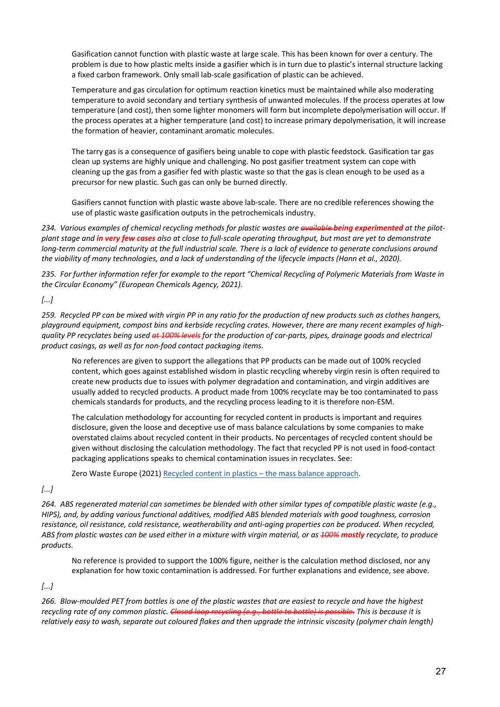Gasification cannot function with plastic waste at large scale. This has been known for over a century. The problem is due to how plastic melts inside a gasifier which is in turn due to plastic's internal structure lacking a fixed carbon framework. Only small lab-scale gasification of plastic can be achieved.

Temperature and gas circulation for optimum reaction kinetics must be maintained while also moderating temperature to avoid secondary and tertiary synthesis of unwanted molecules. If the process operates at low temperature (and cost), then some lighter monomers will form but incomplete depolymerisation will occur. If the process operates at a higher temperature (and cost) to increase primary depolymerisation, it will increase the formation of heavier, contaminant aromatic molecules.

The tarry gas is a consequence of gasifiers being unable to cope with plastic feedstock. Gasification tar gas clean up systems are highly unique and challenging. No post gasifier treatment system can cope with cleaning up the gas from a gasifier fed with plastic waste so that the gas is clean enough to be used as a precursor for new plastic. Such gas can only be burned directly.

Gasifiers cannot function with plastic waste above lab-scale. There are no credible references showing the use of plastic waste gasification outputs in the petrochemicals industry.

*234. Various examples of chemical recycling methods for plastic wastes are available being experimented at the pilotplant stage and in very few cases also at close to full-scale operating throughput, but most are yet to demonstrate long-term commercial maturity at the full industrial scale. There is a lack of evidence to generate conclusions around the viability of many technologies, and a lack of understanding of the lifecycle impacts (Hann et al., 2020).*

*235. For further information refer for example to the report "Chemical Recycling of Polymeric Materials from Waste in the Circular Economy" (European Chemicals Agency, 2021).*

*[...]*

*259. Recycled PP can be mixed with virgin PP in any ratio for the production of new products such as clothes hangers, playground equipment, compost bins and kerbside recycling crates. However, there are many recent examples of highquality PP recyclates being used at 100% levels for the production of car-parts, pipes, drainage goods and electrical product casings, as well as for non-food contact packaging items.*

No references are given to support the allegations that PP products can be made out of 100% recycled content, which goes against established wisdom in plastic recycling whereby virgin resin is often required to create new products due to issues with polymer degradation and contamination, and virgin additives are usually added to recycled products. A product made from 100% recyclate may be too contaminated to pass chemicals standards for products, and the recycling process leading to it is therefore non-ESM.

The calculation methodology for accounting for recycled content in products is important and requires disclosure, given the loose and deceptive use of mass balance calculations by some companies to make overstated claims about recycled content in their products. No percentages of recycled content should be given without disclosing the calculation methodology. The fact that recycled PP is not used in food-contact packaging applications speaks to chemical contamination issues in recyclates. See:

Zero Waste Europe (2021) Recycled content in plastics – the mass balance approach.

*[...]*

*264. ABS regenerated material can sometimes be blended with other similar types of compatible plastic waste (e.g., HIPS), and, by adding various functional additives, modified ABS blended materials with good toughness, corrosion resistance, oil resistance, cold resistance, weatherability and anti-aging properties can be produced. When recycled, ABS from plastic wastes can be used either in a mixture with virgin material, or as 100% mostly recyclate, to produce products.*

No reference is provided to support the 100% figure, neither is the calculation method disclosed, nor any explanation for how toxic contamination is addressed. For further explanations and evidence, see above.

*[...]*

*266. Blow-moulded PET from bottles is one of the plastic wastes that are easiest to recycle and have the highest recycling rate of any common plastic. Closed loop recycling (e.g., bottle to bottle) is possible. This is because it is relatively easy to wash, separate out coloured flakes and then upgrade the intrinsic viscosity (polymer chain length)*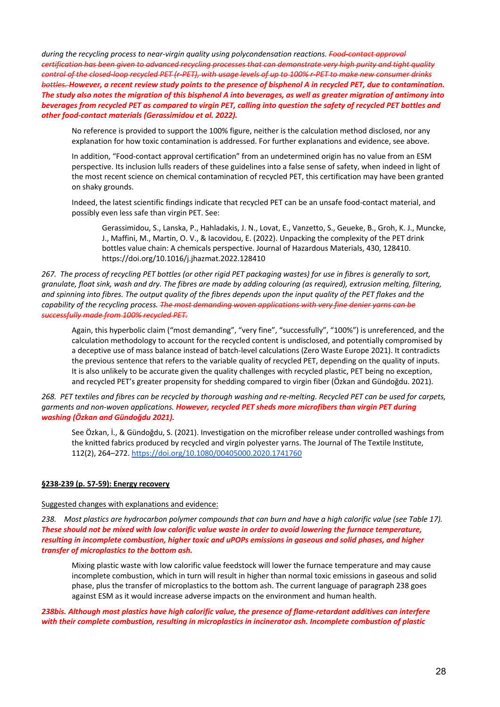*during the recycling process to near-virgin quality using polycondensation reactions. Food-contact approval certification has been given to advanced recycling processes that can demonstrate very high purity and tight quality control of the closed-loop recycled PET (r-PET), with usage levels of up to 100% r-PET to make new consumer drinks bottles. However, a recent review study points to the presence of bisphenol A in recycled PET, due to contamination. The study also notes the migration of this bisphenol A into beverages, as well as greater migration of antimony into beverages from recycled PET as compared to virgin PET, calling into question the safety of recycled PET bottles and other food-contact materials (Gerassimidou et al. 2022).* 

No reference is provided to support the 100% figure, neither is the calculation method disclosed, nor any explanation for how toxic contamination is addressed. For further explanations and evidence, see above.

In addition, "Food-contact approval certification" from an undetermined origin has no value from an ESM perspective. Its inclusion lulls readers of these guidelines into a false sense of safety, when indeed in light of the most recent science on chemical contamination of recycled PET, this certification may have been granted on shaky grounds.

Indeed, the latest scientific findings indicate that recycled PET can be an unsafe food-contact material, and possibly even less safe than virgin PET. See:

Gerassimidou, S., Lanska, P., Hahladakis, J. N., Lovat, E., Vanzetto, S., Geueke, B., Groh, K. J., Muncke, J., Maffini, M., Martin, O. V., & Iacovidou, E. (2022). Unpacking the complexity of the PET drink bottles value chain: A chemicals perspective. Journal of Hazardous Materials, 430, 128410. https://doi.org/10.1016/j.jhazmat.2022.128410

*267. The process of recycling PET bottles (or other rigid PET packaging wastes) for use in fibres is generally to sort, granulate, float sink, wash and dry. The fibres are made by adding colouring (as required), extrusion melting, filtering, and spinning into fibres. The output quality of the fibres depends upon the input quality of the PET flakes and the capability of the recycling process. The most demanding woven applications with very fine denier yarns can be successfully made from 100% recycled PET.*

Again, this hyperbolic claim ("most demanding", "very fine", "successfully", "100%") is unreferenced, and the calculation methodology to account for the recycled content is undisclosed, and potentially compromised by a deceptive use of mass balance instead of batch-level calculations (Zero Waste Europe 2021). It contradicts the previous sentence that refers to the variable quality of recycled PET, depending on the quality of inputs. It is also unlikely to be accurate given the quality challenges with recycled plastic, PET being no exception, and recycled PET's greater propensity for shedding compared to virgin fiber (Özkan and Gündoğdu. 2021).

*268. PET textiles and fibres can be recycled by thorough washing and re-melting. Recycled PET can be used for carpets, garments and non-woven applications. However, recycled PET sheds more microfibers than virgin PET during washing (Özkan and Gündoğdu 2021).*

See Özkan, İ., & Gündoğdu, S. (2021). Investigation on the microfiber release under controlled washings from the knitted fabrics produced by recycled and virgin polyester yarns. The Journal of The Textile Institute, 112(2), 264–272. https://doi.org/10.1080/00405000.2020.1741760

#### **§238-239 (p. 57-59): Energy recovery**

#### Suggested changes with explanations and evidence:

*238. Most plastics are hydrocarbon polymer compounds that can burn and have a high calorific value (see Table 17). These should not be mixed with low calorific value waste in order to avoid lowering the furnace temperature, resulting in incomplete combustion, higher toxic and uPOPs emissions in gaseous and solid phases, and higher transfer of microplastics to the bottom ash.* 

Mixing plastic waste with low calorific value feedstock will lower the furnace temperature and may cause incomplete combustion, which in turn will result in higher than normal toxic emissions in gaseous and solid phase, plus the transfer of microplastics to the bottom ash. The current language of paragraph 238 goes against ESM as it would increase adverse impacts on the environment and human health.

*238bis. Although most plastics have high calorific value, the presence of flame-retardant additives can interfere with their complete combustion, resulting in microplastics in incinerator ash. Incomplete combustion of plastic*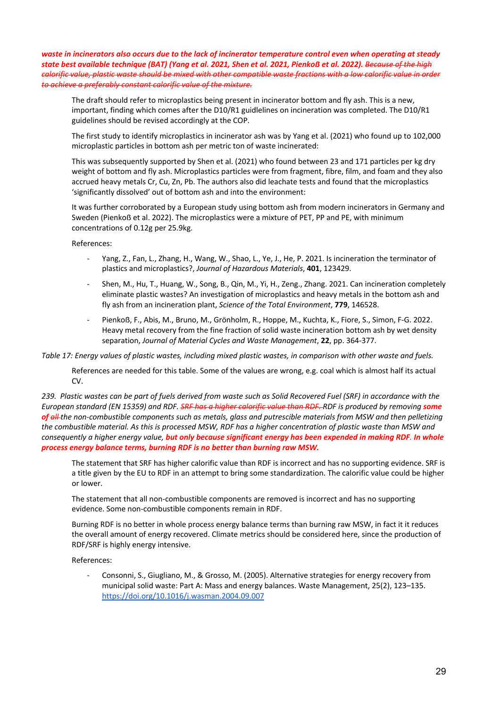*waste in incinerators also occurs due to the lack of incinerator temperature control even when operating at steady state best available technique (BAT) (Yang et al. 2021, Shen et al. 2021, Pienkoẞ et al. 2022). Because of the high calorific value, plastic waste should be mixed with other compatible waste fractions with a low calorific value in order to achieve a preferably constant calorific value of the mixture.*

The draft should refer to microplastics being present in incinerator bottom and fly ash. This is a new, important, finding which comes after the D10/R1 guidlelines on incineration was completed. The D10/R1 guidelines should be revised accordingly at the COP.

The first study to identify microplastics in incinerator ash was by Yang et al. (2021) who found up to 102,000 microplastic particles in bottom ash per metric ton of waste incinerated:

This was subsequently supported by Shen et al. (2021) who found between 23 and 171 particles per kg dry weight of bottom and fly ash. Microplastics particles were from fragment, fibre, film, and foam and they also accrued heavy metals Cr, Cu, Zn, Pb. The authors also did leachate tests and found that the microplastics 'significantly dissolved' out of bottom ash and into the environment:

It was further corroborated by a European study using bottom ash from modern incinerators in Germany and Sweden (Pienkoß et al. 2022). The microplastics were a mixture of PET, PP and PE, with minimum concentrations of 0.12g per 25.9kg.

References:

- Yang, Z., Fan, L., Zhang, H., Wang, W., Shao, L., Ye, J., He, P. 2021. Is incineration the terminator of plastics and microplastics?, *Journal of Hazardous Materials*, **401**, 123429.
- Shen, M., Hu, T., Huang, W., Song, B., Qin, M., Yi, H., Zeng., Zhang. 2021. Can incineration completely eliminate plastic wastes? An investigation of microplastics and heavy metals in the bottom ash and fly ash from an incineration plant, *Science of the Total Environment*, **779**, 146528.
- Pienkoß, F., Abis, M., Bruno, M., Grönholm, R., Hoppe, M., Kuchta, K., Fiore, S., Simon, F-G. 2022. Heavy metal recovery from the fine fraction of solid waste incineration bottom ash by wet density separation, *Journal of Material Cycles and Waste Management*, **22**, pp. 364-377.

*Table 17: Energy values of plastic wastes, including mixed plastic wastes, in comparison with other waste and fuels.*

References are needed for this table. Some of the values are wrong, e.g. coal which is almost half its actual CV.

*239. Plastic wastes can be part of fuels derived from waste such as Solid Recovered Fuel (SRF) in accordance with the European standard (EN 15359) and RDF. SRF has a higher calorific value than RDF. RDF is produced by removing some of all the non-combustible components such as metals, glass and putrescible materials from MSW and then pelletizing the combustible material. As this is processed MSW, RDF has a higher concentration of plastic waste than MSW and consequently a higher energy value, but only because significant energy has been expended in making RDF. In whole process energy balance terms, burning RDF is no better than burning raw MSW.*

The statement that SRF has higher calorific value than RDF is incorrect and has no supporting evidence. SRF is a title given by the EU to RDF in an attempt to bring some standardization. The calorific value could be higher or lower.

The statement that all non-combustible components are removed is incorrect and has no supporting evidence. Some non-combustible components remain in RDF.

Burning RDF is no better in whole process energy balance terms than burning raw MSW, in fact it it reduces the overall amount of energy recovered. Climate metrics should be considered here, since the production of RDF/SRF is highly energy intensive.

References:

- Consonni, S., Giugliano, M., & Grosso, M. (2005). Alternative strategies for energy recovery from municipal solid waste: Part A: Mass and energy balances. Waste Management, 25(2), 123–135. https://doi.org/10.1016/j.wasman.2004.09.007